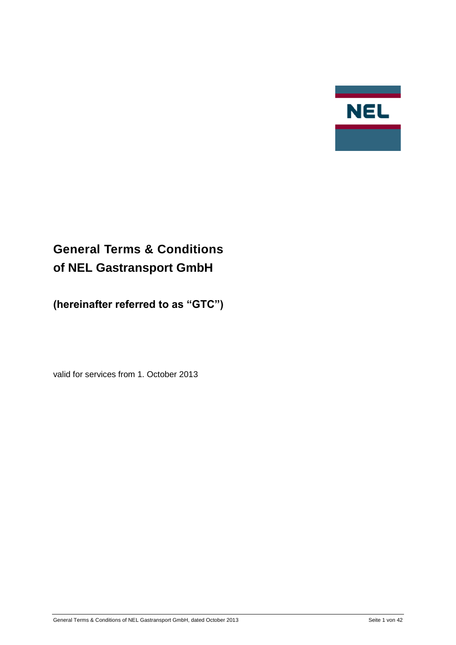

# <span id="page-0-0"></span>**General Terms & Conditions of NEL Gastransport GmbH**

**(hereinafter referred to as "GTC")**

valid for services from 1. October 2013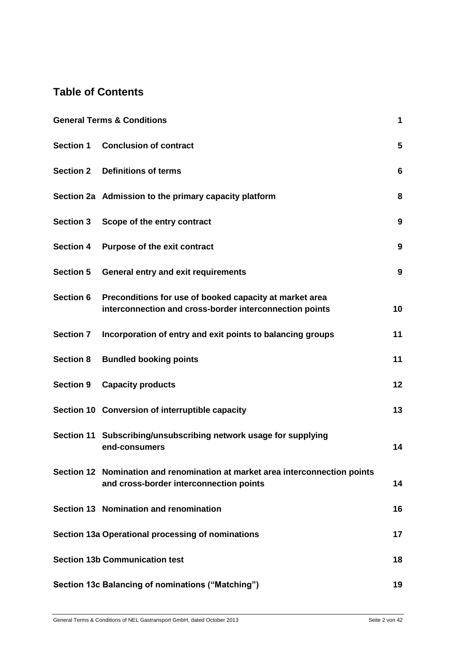# **Table of Contents**

|                  | <b>General Terms &amp; Conditions</b>                                                                                   | 1                |
|------------------|-------------------------------------------------------------------------------------------------------------------------|------------------|
|                  | Section 1 Conclusion of contract                                                                                        | 5                |
| <b>Section 2</b> | <b>Definitions of terms</b>                                                                                             | 6                |
|                  | Section 2a Admission to the primary capacity platform                                                                   | 8                |
| <b>Section 3</b> | Scope of the entry contract                                                                                             | 9                |
| <b>Section 4</b> | <b>Purpose of the exit contract</b>                                                                                     | 9                |
| <b>Section 5</b> | <b>General entry and exit requirements</b>                                                                              | $\boldsymbol{9}$ |
| <b>Section 6</b> | Preconditions for use of booked capacity at market area<br>interconnection and cross-border interconnection points      | 10               |
| <b>Section 7</b> | Incorporation of entry and exit points to balancing groups                                                              | 11               |
| <b>Section 8</b> | <b>Bundled booking points</b>                                                                                           | 11               |
| <b>Section 9</b> | <b>Capacity products</b>                                                                                                | 12               |
|                  | Section 10 Conversion of interruptible capacity                                                                         | 13               |
|                  | Section 11 Subscribing/unsubscribing network usage for supplying<br>end-consumers                                       | 14               |
|                  | Section 12 Nomination and renomination at market area interconnection points<br>and cross-border interconnection points | 14               |
|                  | Section 13 Nomination and renomination                                                                                  | 16               |
|                  | Section 13a Operational processing of nominations                                                                       | 17               |
|                  | <b>Section 13b Communication test</b>                                                                                   | 18               |
|                  | Section 13c Balancing of nominations ("Matching")                                                                       | 19               |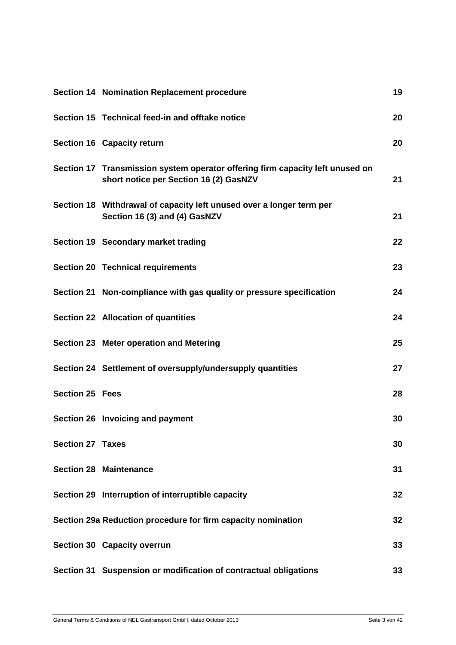|                         | Section 14 Nomination Replacement procedure                                                                             | 19 |
|-------------------------|-------------------------------------------------------------------------------------------------------------------------|----|
|                         | Section 15 Technical feed-in and offtake notice                                                                         | 20 |
|                         | Section 16 Capacity return                                                                                              | 20 |
|                         | Section 17 Transmission system operator offering firm capacity left unused on<br>short notice per Section 16 (2) GasNZV | 21 |
|                         | Section 18 Withdrawal of capacity left unused over a longer term per<br>Section 16 (3) and (4) GasNZV                   | 21 |
|                         | Section 19 Secondary market trading                                                                                     | 22 |
|                         | <b>Section 20 Technical requirements</b>                                                                                | 23 |
|                         | Section 21 Non-compliance with gas quality or pressure specification                                                    | 24 |
|                         | Section 22 Allocation of quantities                                                                                     | 24 |
|                         | Section 23 Meter operation and Metering                                                                                 | 25 |
|                         | Section 24 Settlement of oversupply/undersupply quantities                                                              | 27 |
| <b>Section 25 Fees</b>  |                                                                                                                         | 28 |
|                         | Section 26 Invoicing and payment                                                                                        | 30 |
| <b>Section 27 Taxes</b> |                                                                                                                         | 30 |
|                         | <b>Section 28 Maintenance</b>                                                                                           | 31 |
|                         | Section 29 Interruption of interruptible capacity                                                                       | 32 |
|                         | Section 29a Reduction procedure for firm capacity nomination                                                            | 32 |
|                         | Section 30 Capacity overrun                                                                                             | 33 |
|                         | Section 31 Suspension or modification of contractual obligations                                                        | 33 |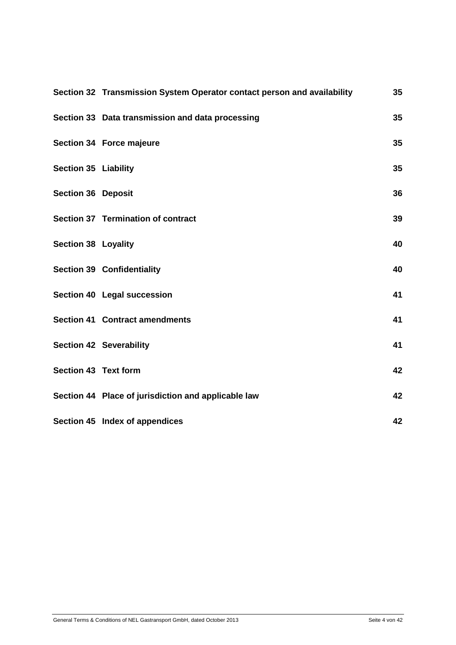|                             | Section 32 Transmission System Operator contact person and availability | 35 |
|-----------------------------|-------------------------------------------------------------------------|----|
|                             | Section 33 Data transmission and data processing                        | 35 |
|                             | Section 34 Force majeure                                                | 35 |
| <b>Section 35 Liability</b> |                                                                         | 35 |
| <b>Section 36 Deposit</b>   |                                                                         | 36 |
|                             | Section 37 Termination of contract                                      | 39 |
| <b>Section 38 Loyality</b>  |                                                                         | 40 |
|                             | <b>Section 39 Confidentiality</b>                                       | 40 |
|                             | Section 40 Legal succession                                             | 41 |
|                             | <b>Section 41 Contract amendments</b>                                   | 41 |
|                             | <b>Section 42 Severability</b>                                          | 41 |
| Section 43 Text form        |                                                                         | 42 |
|                             | Section 44 Place of jurisdiction and applicable law                     | 42 |
|                             | Section 45 Index of appendices                                          | 42 |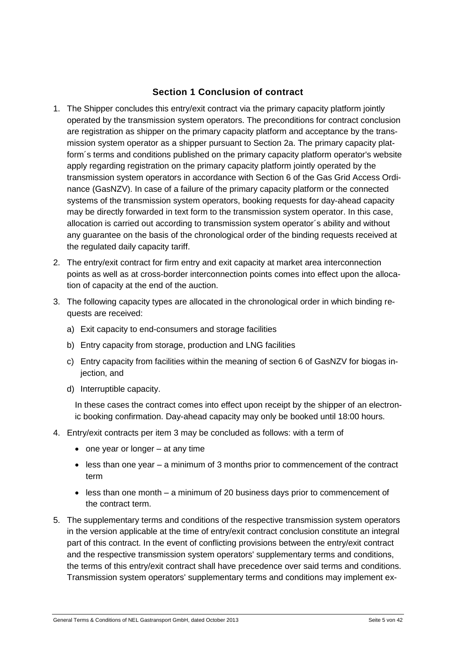#### **Section 1 Conclusion of contract**

- <span id="page-4-0"></span>1. The Shipper concludes this entry/exit contract via the primary capacity platform jointly operated by the transmission system operators. The preconditions for contract conclusion are registration as shipper on the primary capacity platform and acceptance by the transmission system operator as a shipper pursuant to Section 2a. The primary capacity platform´s terms and conditions published on the primary capacity platform operator's website apply regarding registration on the primary capacity platform jointly operated by the transmission system operators in accordance with Section 6 of the Gas Grid Access Ordinance (GasNZV). In case of a failure of the primary capacity platform or the connected systems of the transmission system operators, booking requests for day-ahead capacity may be directly forwarded in text form to the transmission system operator. In this case, allocation is carried out according to transmission system operator´s ability and without any guarantee on the basis of the chronological order of the binding requests received at the regulated daily capacity tariff.
- 2. The entry/exit contract for firm entry and exit capacity at market area interconnection points as well as at cross-border interconnection points comes into effect upon the allocation of capacity at the end of the auction.
- 3. The following capacity types are allocated in the chronological order in which binding requests are received:
	- a) Exit capacity to end-consumers and storage facilities
	- b) Entry capacity from storage, production and LNG facilities
	- c) Entry capacity from facilities within the meaning of section 6 of GasNZV for biogas injection, and
	- d) Interruptible capacity.

In these cases the contract comes into effect upon receipt by the shipper of an electronic booking confirmation. Day-ahead capacity may only be booked until 18:00 hours.

- 4. Entry/exit contracts per item 3 may be concluded as follows: with a term of
	- $\bullet$  one year or longer at any time
	- less than one year a minimum of 3 months prior to commencement of the contract term
	- less than one month a minimum of 20 business days prior to commencement of the contract term.
- 5. The supplementary terms and conditions of the respective transmission system operators in the version applicable at the time of entry/exit contract conclusion constitute an integral part of this contract. In the event of conflicting provisions between the entry/exit contract and the respective transmission system operators' supplementary terms and conditions, the terms of this entry/exit contract shall have precedence over said terms and conditions. Transmission system operators' supplementary terms and conditions may implement ex-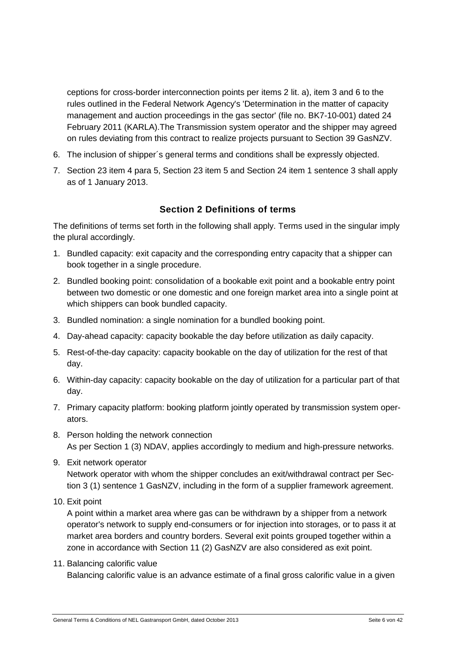ceptions for cross-border interconnection points per items 2 lit. a), item 3 and 6 to the rules outlined in the Federal Network Agency's 'Determination in the matter of capacity management and auction proceedings in the gas sector' (file no. BK7-10-001) dated 24 February 2011 (KARLA).The Transmission system operator and the shipper may agreed on rules deviating from this contract to realize projects pursuant to Section 39 GasNZV.

- 6. The inclusion of shipper´s general terms and conditions shall be expressly objected.
- <span id="page-5-0"></span>7. Section 23 item 4 para 5, Section 23 item 5 and Section 24 item 1 sentence 3 shall apply as of 1 January 2013.

#### **Section 2 Definitions of terms**

The definitions of terms set forth in the following shall apply. Terms used in the singular imply the plural accordingly.

- 1. Bundled capacity: exit capacity and the corresponding entry capacity that a shipper can book together in a single procedure.
- 2. Bundled booking point: consolidation of a bookable exit point and a bookable entry point between two domestic or one domestic and one foreign market area into a single point at which shippers can book bundled capacity.
- 3. Bundled nomination: a single nomination for a bundled booking point.
- 4. Day-ahead capacity: capacity bookable the day before utilization as daily capacity.
- 5. Rest-of-the-day capacity: capacity bookable on the day of utilization for the rest of that day.
- 6. Within-day capacity: capacity bookable on the day of utilization for a particular part of that day.
- 7. Primary capacity platform: booking platform jointly operated by transmission system operators.
- 8. Person holding the network connection As per Section 1 (3) NDAV, applies accordingly to medium and high-pressure networks.
- 9. Exit network operator Network operator with whom the shipper concludes an exit/withdrawal contract per Section 3 (1) sentence 1 GasNZV, including in the form of a supplier framework agreement.
- 10. Exit point

A point within a market area where gas can be withdrawn by a shipper from a network operator's network to supply end-consumers or for injection into storages, or to pass it at market area borders and country borders. Several exit points grouped together within a zone in accordance with Section 11 (2) GasNZV are also considered as exit point.

11. Balancing calorific value

Balancing calorific value is an advance estimate of a final gross calorific value in a given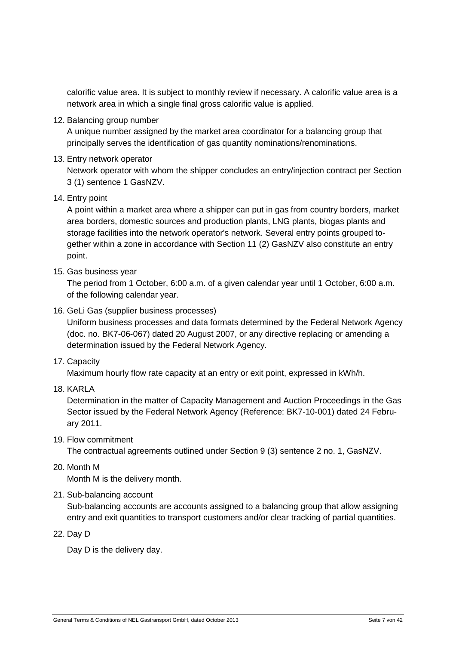calorific value area. It is subject to monthly review if necessary. A calorific value area is a network area in which a single final gross calorific value is applied.

12. Balancing group number

A unique number assigned by the market area coordinator for a balancing group that principally serves the identification of gas quantity nominations/renominations.

13. Entry network operator

Network operator with whom the shipper concludes an entry/injection contract per Section 3 (1) sentence 1 GasNZV.

14. Entry point

A point within a market area where a shipper can put in gas from country borders, market area borders, domestic sources and production plants, LNG plants, biogas plants and storage facilities into the network operator's network. Several entry points grouped together within a zone in accordance with Section 11 (2) GasNZV also constitute an entry point.

15. Gas business year

The period from 1 October, 6:00 a.m. of a given calendar year until 1 October, 6:00 a.m. of the following calendar year.

16. GeLi Gas (supplier business processes)

Uniform business processes and data formats determined by the Federal Network Agency (doc. no. BK7-06-067) dated 20 August 2007, or any directive replacing or amending a determination issued by the Federal Network Agency.

17. Capacity

Maximum hourly flow rate capacity at an entry or exit point, expressed in kWh/h.

18. KARLA

Determination in the matter of Capacity Management and Auction Proceedings in the Gas Sector issued by the Federal Network Agency (Reference: BK7-10-001) dated 24 February 2011.

19. Flow commitment

The contractual agreements outlined under Section 9 (3) sentence 2 no. 1, GasNZV.

20. Month M

Month M is the delivery month.

21. Sub-balancing account

Sub-balancing accounts are accounts assigned to a balancing group that allow assigning entry and exit quantities to transport customers and/or clear tracking of partial quantities.

22. Day D

Day D is the delivery day.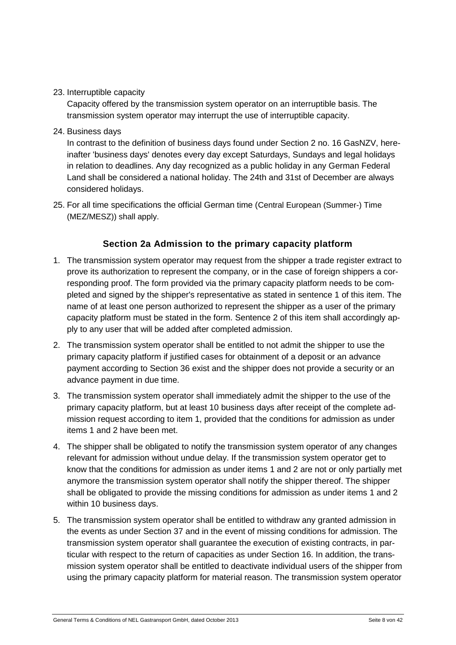23. Interruptible capacity

Capacity offered by the transmission system operator on an interruptible basis. The transmission system operator may interrupt the use of interruptible capacity.

24. Business days

In contrast to the definition of business days found under Section 2 no. 16 GasNZV, hereinafter 'business days' denotes every day except Saturdays, Sundays and legal holidays in relation to deadlines. Any day recognized as a public holiday in any German Federal Land shall be considered a national holiday. The 24th and 31st of December are always considered holidays.

<span id="page-7-0"></span>25. For all time specifications the official German time ([Central](http://dict.leo.org/ende?lp=ende&p=DOKJAA&search=Central&trestr=0x8001) [European](http://dict.leo.org/ende?lp=ende&p=DOKJAA&search=European&trestr=0x8001) (Summer-) [Time](http://dict.leo.org/ende?lp=ende&p=DOKJAA&search=Time&trestr=0x8001) (MEZ/MESZ)) shall apply.

#### **Section 2a Admission to the primary capacity platform**

- 1. The transmission system operator may request from the shipper a trade register extract to prove its authorization to represent the company, or in the case of foreign shippers a corresponding proof. The form provided via the primary capacity platform needs to be completed and signed by the shipper's representative as stated in sentence 1 of this item. The name of at least one person authorized to represent the shipper as a user of the primary capacity platform must be stated in the form. Sentence 2 of this item shall accordingly apply to any user that will be added after completed admission.
- 2. The transmission system operator shall be entitled to not admit the shipper to use the primary capacity platform if justified cases for obtainment of a deposit or an advance payment according to Section 36 exist and the shipper does not provide a security or an advance payment in due time.
- 3. The transmission system operator shall immediately admit the shipper to the use of the primary capacity platform, but at least 10 business days after receipt of the complete admission request according to item 1, provided that the conditions for admission as under items 1 and 2 have been met.
- 4. The shipper shall be obligated to notify the transmission system operator of any changes relevant for admission without undue delay. If the transmission system operator get to know that the conditions for admission as under items 1 and 2 are not or only partially met anymore the transmission system operator shall notify the shipper thereof. The shipper shall be obligated to provide the missing conditions for admission as under items 1 and 2 within 10 business days.
- 5. The transmission system operator shall be entitled to withdraw any granted admission in the events as under Section 37 and in the event of missing conditions for admission. The transmission system operator shall guarantee the execution of existing contracts, in particular with respect to the return of capacities as under Section 16. In addition, the transmission system operator shall be entitled to deactivate individual users of the shipper from using the primary capacity platform for material reason. The transmission system operator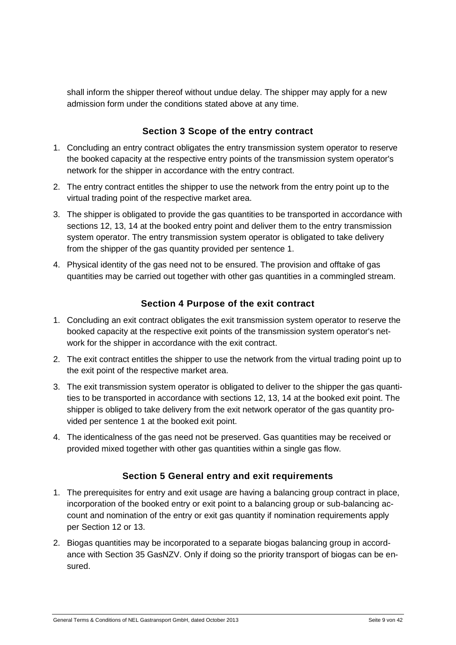shall inform the shipper thereof without undue delay. The shipper may apply for a new admission form under the conditions stated above at any time.

#### **Section 3 Scope of the entry contract**

- <span id="page-8-0"></span>1. Concluding an entry contract obligates the entry transmission system operator to reserve the booked capacity at the respective entry points of the transmission system operator's network for the shipper in accordance with the entry contract.
- 2. The entry contract entitles the shipper to use the network from the entry point up to the virtual trading point of the respective market area.
- 3. The shipper is obligated to provide the gas quantities to be transported in accordance with sections 12, 13, 14 at the booked entry point and deliver them to the entry transmission system operator. The entry transmission system operator is obligated to take delivery from the shipper of the gas quantity provided per sentence 1.
- <span id="page-8-1"></span>4. Physical identity of the gas need not to be ensured. The provision and offtake of gas quantities may be carried out together with other gas quantities in a commingled stream.

#### **Section 4 Purpose of the exit contract**

- 1. Concluding an exit contract obligates the exit transmission system operator to reserve the booked capacity at the respective exit points of the transmission system operator's network for the shipper in accordance with the exit contract.
- 2. The exit contract entitles the shipper to use the network from the virtual trading point up to the exit point of the respective market area.
- 3. The exit transmission system operator is obligated to deliver to the shipper the gas quantities to be transported in accordance with sections 12, 13, 14 at the booked exit point. The shipper is obliged to take delivery from the exit network operator of the gas quantity provided per sentence 1 at the booked exit point.
- <span id="page-8-2"></span>4. The identicalness of the gas need not be preserved. Gas quantities may be received or provided mixed together with other gas quantities within a single gas flow.

#### **Section 5 General entry and exit requirements**

- 1. The prerequisites for entry and exit usage are having a balancing group contract in place, incorporation of the booked entry or exit point to a balancing group or sub-balancing account and nomination of the entry or exit gas quantity if nomination requirements apply per Section 12 or 13.
- 2. Biogas quantities may be incorporated to a separate biogas balancing group in accordance with Section 35 GasNZV. Only if doing so the priority transport of biogas can be ensured.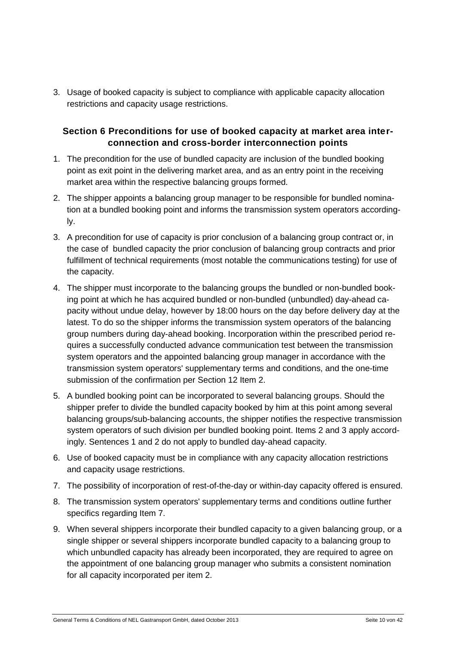3. Usage of booked capacity is subject to compliance with applicable capacity allocation restrictions and capacity usage restrictions.

#### <span id="page-9-0"></span>**Section 6 Preconditions for use of booked capacity at market area interconnection and cross-border interconnection points**

- 1. The precondition for the use of bundled capacity are inclusion of the bundled booking point as exit point in the delivering market area, and as an entry point in the receiving market area within the respective balancing groups formed.
- 2. The shipper appoints a balancing group manager to be responsible for bundled nomination at a bundled booking point and informs the transmission system operators accordingly.
- 3. A precondition for use of capacity is prior conclusion of a balancing group contract or, in the case of bundled capacity the prior conclusion of balancing group contracts and prior fulfillment of technical requirements (most notable the communications testing) for use of the capacity.
- 4. The shipper must incorporate to the balancing groups the bundled or non-bundled booking point at which he has acquired bundled or non-bundled (unbundled) day-ahead capacity without undue delay, however by 18:00 hours on the day before delivery day at the latest. To do so the shipper informs the transmission system operators of the balancing group numbers during day-ahead booking. Incorporation within the prescribed period requires a successfully conducted advance communication test between the transmission system operators and the appointed balancing group manager in accordance with the transmission system operators' supplementary terms and conditions, and the one-time submission of the confirmation per Section 12 Item 2.
- 5. A bundled booking point can be incorporated to several balancing groups. Should the shipper prefer to divide the bundled capacity booked by him at this point among several balancing groups/sub-balancing accounts, the shipper notifies the respective transmission system operators of such division per bundled booking point. Items 2 and 3 apply accordingly. Sentences 1 and 2 do not apply to bundled day-ahead capacity.
- 6. Use of booked capacity must be in compliance with any capacity allocation restrictions and capacity usage restrictions.
- 7. The possibility of incorporation of rest-of-the-day or within-day capacity offered is ensured.
- 8. The transmission system operators' supplementary terms and conditions outline further specifics regarding Item 7.
- 9. When several shippers incorporate their bundled capacity to a given balancing group, or a single shipper or several shippers incorporate bundled capacity to a balancing group to which unbundled capacity has already been incorporated, they are required to agree on the appointment of one balancing group manager who submits a consistent nomination for all capacity incorporated per item 2.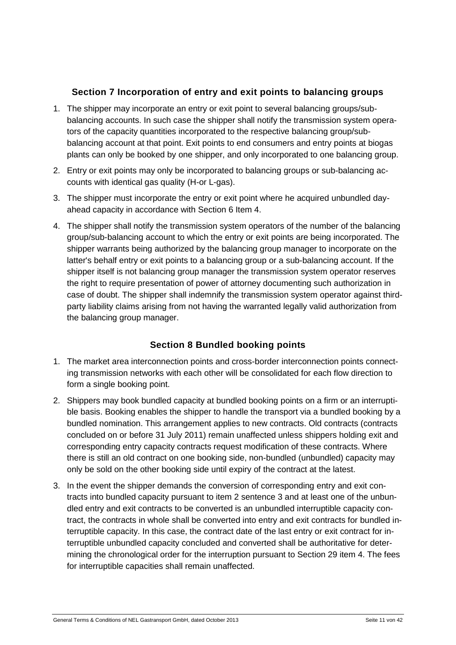#### **Section 7 Incorporation of entry and exit points to balancing groups**

- <span id="page-10-0"></span>1. The shipper may incorporate an entry or exit point to several balancing groups/subbalancing accounts. In such case the shipper shall notify the transmission system operators of the capacity quantities incorporated to the respective balancing group/subbalancing account at that point. Exit points to end consumers and entry points at biogas plants can only be booked by one shipper, and only incorporated to one balancing group.
- 2. Entry or exit points may only be incorporated to balancing groups or sub-balancing accounts with identical gas quality (H-or L-gas).
- 3. The shipper must incorporate the entry or exit point where he acquired unbundled dayahead capacity in accordance with Section 6 Item 4.
- 4. The shipper shall notify the transmission system operators of the number of the balancing group/sub-balancing account to which the entry or exit points are being incorporated. The shipper warrants being authorized by the balancing group manager to incorporate on the latter's behalf entry or exit points to a balancing group or a sub-balancing account. If the shipper itself is not balancing group manager the transmission system operator reserves the right to require presentation of power of attorney documenting such authorization in case of doubt. The shipper shall indemnify the transmission system operator against thirdparty liability claims arising from not having the warranted legally valid authorization from the balancing group manager.

# **Section 8 Bundled booking points**

- <span id="page-10-1"></span>1. The market area interconnection points and cross-border interconnection points connecting transmission networks with each other will be consolidated for each flow direction to form a single booking point.
- 2. Shippers may book bundled capacity at bundled booking points on a firm or an interruptible basis. Booking enables the shipper to handle the transport via a bundled booking by a bundled nomination. This arrangement applies to new contracts. Old contracts (contracts concluded on or before 31 July 2011) remain unaffected unless shippers holding exit and corresponding entry capacity contracts request modification of these contracts. Where there is still an old contract on one booking side, non-bundled (unbundled) capacity may only be sold on the other booking side until expiry of the contract at the latest.
- 3. In the event the shipper demands the conversion of corresponding entry and exit contracts into bundled capacity pursuant to item 2 sentence 3 and at least one of the unbundled entry and exit contracts to be converted is an unbundled interruptible capacity contract, the contracts in whole shall be converted into entry and exit contracts for bundled interruptible capacity. In this case, the contract date of the last entry or exit contract for interruptible unbundled capacity concluded and converted shall be authoritative for determining the chronological order for the interruption pursuant to Section 29 item 4. The fees for interruptible capacities shall remain unaffected.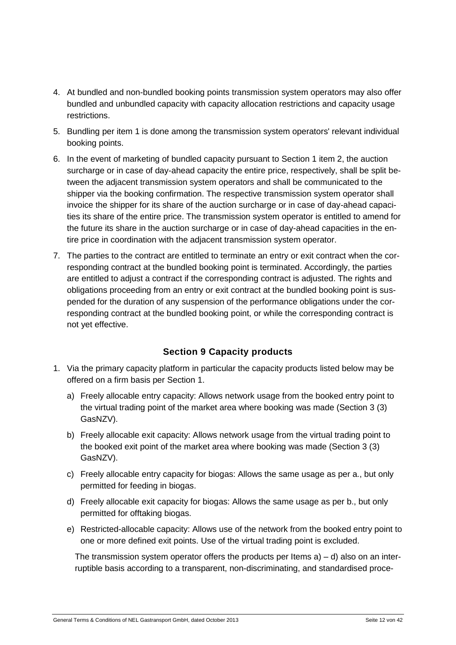- 4. At bundled and non-bundled booking points transmission system operators may also offer bundled and unbundled capacity with capacity allocation restrictions and capacity usage restrictions.
- 5. Bundling per item 1 is done among the transmission system operators' relevant individual booking points.
- 6. In the event of marketing of bundled capacity pursuant to Section 1 item 2, the auction surcharge or in case of day-ahead capacity the entire price, respectively, shall be split between the adjacent transmission system operators and shall be communicated to the shipper via the booking confirmation. The respective transmission system operator shall invoice the shipper for its share of the auction surcharge or in case of day-ahead capacities its share of the entire price. The transmission system operator is entitled to amend for the future its share in the auction surcharge or in case of day-ahead capacities in the entire price in coordination with the adjacent transmission system operator.
- 7. The parties to the contract are entitled to terminate an entry or exit contract when the corresponding contract at the bundled booking point is terminated. Accordingly, the parties are entitled to adjust a contract if the corresponding contract is adjusted. The rights and obligations proceeding from an entry or exit contract at the bundled booking point is suspended for the duration of any suspension of the performance obligations under the corresponding contract at the bundled booking point, or while the corresponding contract is not yet effective.

#### **Section 9 Capacity products**

- <span id="page-11-0"></span>1. Via the primary capacity platform in particular the capacity products listed below may be offered on a firm basis per Section 1.
	- a) Freely allocable entry capacity: Allows network usage from the booked entry point to the virtual trading point of the market area where booking was made (Section 3 (3) GasNZV).
	- b) Freely allocable exit capacity: Allows network usage from the virtual trading point to the booked exit point of the market area where booking was made (Section 3 (3) GasNZV).
	- c) Freely allocable entry capacity for biogas: Allows the same usage as per a., but only permitted for feeding in biogas.
	- d) Freely allocable exit capacity for biogas: Allows the same usage as per b., but only permitted for offtaking biogas.
	- e) Restricted-allocable capacity: Allows use of the network from the booked entry point to one or more defined exit points. Use of the virtual trading point is excluded.

The transmission system operator offers the products per Items  $a$ ) – d) also on an interruptible basis according to a transparent, non-discriminating, and standardised proce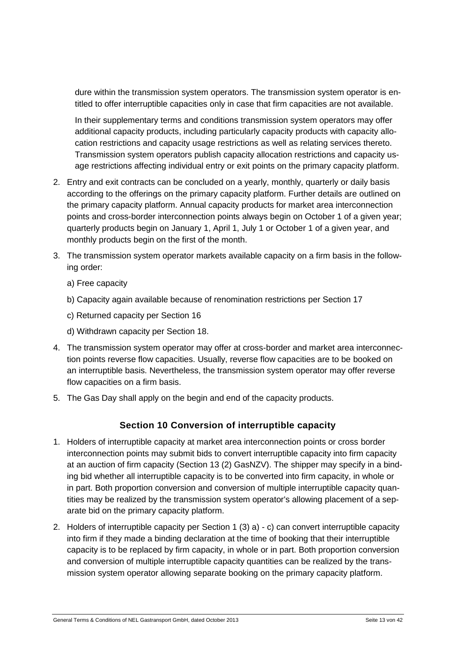dure within the transmission system operators. The transmission system operator is entitled to offer interruptible capacities only in case that firm capacities are not available.

In their supplementary terms and conditions transmission system operators may offer additional capacity products, including particularly capacity products with capacity allocation restrictions and capacity usage restrictions as well as relating services thereto. Transmission system operators publish capacity allocation restrictions and capacity usage restrictions affecting individual entry or exit points on the primary capacity platform.

- 2. Entry and exit contracts can be concluded on a yearly, monthly, quarterly or daily basis according to the offerings on the primary capacity platform. Further details are outlined on the primary capacity platform. Annual capacity products for market area interconnection points and cross-border interconnection points always begin on October 1 of a given year; quarterly products begin on January 1, April 1, July 1 or October 1 of a given year, and monthly products begin on the first of the month.
- 3. The transmission system operator markets available capacity on a firm basis in the following order:
	- a) Free capacity
	- b) Capacity again available because of renomination restrictions per Section 17
	- c) Returned capacity per Section 16
	- d) Withdrawn capacity per Section 18.
- 4. The transmission system operator may offer at cross-border and market area interconnection points reverse flow capacities. Usually, reverse flow capacities are to be booked on an interruptible basis. Nevertheless, the transmission system operator may offer reverse flow capacities on a firm basis.
- <span id="page-12-0"></span>5. The Gas Day shall apply on the begin and end of the capacity products.

#### **Section 10 Conversion of interruptible capacity**

- 1. Holders of interruptible capacity at market area interconnection points or cross border interconnection points may submit bids to convert interruptible capacity into firm capacity at an auction of firm capacity (Section 13 (2) GasNZV). The shipper may specify in a binding bid whether all interruptible capacity is to be converted into firm capacity, in whole or in part. Both proportion conversion and conversion of multiple interruptible capacity quantities may be realized by the transmission system operator's allowing placement of a separate bid on the primary capacity platform.
- 2. Holders of interruptible capacity per Section 1 (3) a) c) can convert interruptible capacity into firm if they made a binding declaration at the time of booking that their interruptible capacity is to be replaced by firm capacity, in whole or in part. Both proportion conversion and conversion of multiple interruptible capacity quantities can be realized by the transmission system operator allowing separate booking on the primary capacity platform.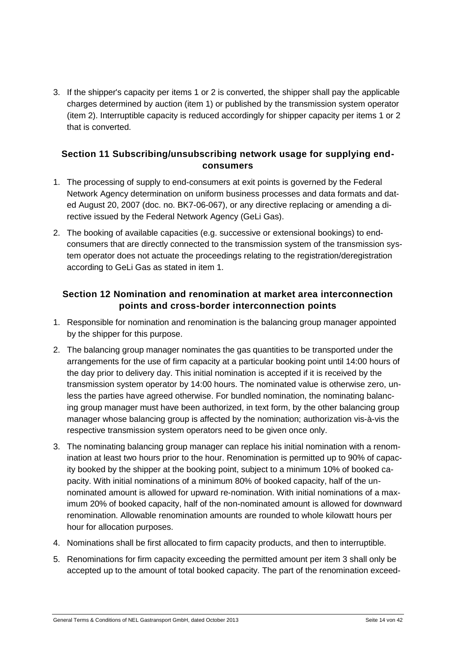3. If the shipper's capacity per items 1 or 2 is converted, the shipper shall pay the applicable charges determined by auction (item 1) or published by the transmission system operator (item 2). Interruptible capacity is reduced accordingly for shipper capacity per items 1 or 2 that is converted.

#### <span id="page-13-0"></span>**Section 11 Subscribing/unsubscribing network usage for supplying endconsumers**

- 1. The processing of supply to end-consumers at exit points is governed by the Federal Network Agency determination on uniform business processes and data formats and dated August 20, 2007 (doc. no. BK7-06-067), or any directive replacing or amending a directive issued by the Federal Network Agency (GeLi Gas).
- 2. The booking of available capacities (e.g. successive or extensional bookings) to endconsumers that are directly connected to the transmission system of the transmission system operator does not actuate the proceedings relating to the registration/deregistration according to GeLi Gas as stated in item 1.

#### <span id="page-13-1"></span>**Section 12 Nomination and renomination at market area interconnection points and cross-border interconnection points**

- 1. Responsible for nomination and renomination is the balancing group manager appointed by the shipper for this purpose.
- 2. The balancing group manager nominates the gas quantities to be transported under the arrangements for the use of firm capacity at a particular booking point until 14:00 hours of the day prior to delivery day. This initial nomination is accepted if it is received by the transmission system operator by 14:00 hours. The nominated value is otherwise zero, unless the parties have agreed otherwise. For bundled nomination, the nominating balancing group manager must have been authorized, in text form, by the other balancing group manager whose balancing group is affected by the nomination; authorization vis-à-vis the respective transmission system operators need to be given once only.
- 3. The nominating balancing group manager can replace his initial nomination with a renomination at least two hours prior to the hour. Renomination is permitted up to 90% of capacity booked by the shipper at the booking point, subject to a minimum 10% of booked capacity. With initial nominations of a minimum 80% of booked capacity, half of the unnominated amount is allowed for upward re-nomination. With initial nominations of a maximum 20% of booked capacity, half of the non-nominated amount is allowed for downward renomination. Allowable renomination amounts are rounded to whole kilowatt hours per hour for allocation purposes.
- 4. Nominations shall be first allocated to firm capacity products, and then to interruptible.
- 5. Renominations for firm capacity exceeding the permitted amount per item 3 shall only be accepted up to the amount of total booked capacity. The part of the renomination exceed-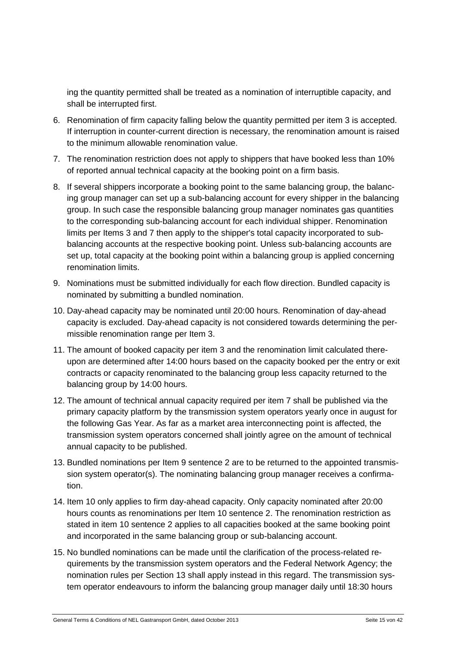ing the quantity permitted shall be treated as a nomination of interruptible capacity, and shall be interrupted first.

- 6. Renomination of firm capacity falling below the quantity permitted per item 3 is accepted. If interruption in counter-current direction is necessary, the renomination amount is raised to the minimum allowable renomination value.
- 7. The renomination restriction does not apply to shippers that have booked less than 10% of reported annual technical capacity at the booking point on a firm basis.
- 8. If several shippers incorporate a booking point to the same balancing group, the balancing group manager can set up a sub-balancing account for every shipper in the balancing group. In such case the responsible balancing group manager nominates gas quantities to the corresponding sub-balancing account for each individual shipper. Renomination limits per Items 3 and 7 then apply to the shipper's total capacity incorporated to subbalancing accounts at the respective booking point. Unless sub-balancing accounts are set up, total capacity at the booking point within a balancing group is applied concerning renomination limits.
- 9. Nominations must be submitted individually for each flow direction. Bundled capacity is nominated by submitting a bundled nomination.
- 10. Day-ahead capacity may be nominated until 20:00 hours. Renomination of day-ahead capacity is excluded. Day-ahead capacity is not considered towards determining the permissible renomination range per Item 3.
- 11. The amount of booked capacity per item 3 and the renomination limit calculated thereupon are determined after 14:00 hours based on the capacity booked per the entry or exit contracts or capacity renominated to the balancing group less capacity returned to the balancing group by 14:00 hours.
- 12. The amount of technical annual capacity required per item 7 shall be published via the primary capacity platform by the transmission system operators yearly once in august for the following Gas Year. As far as a market area interconnecting point is affected, the transmission system operators concerned shall jointly agree on the amount of technical annual capacity to be published.
- 13. Bundled nominations per Item 9 sentence 2 are to be returned to the appointed transmission system operator(s). The nominating balancing group manager receives a confirmation.
- 14. Item 10 only applies to firm day-ahead capacity. Only capacity nominated after 20:00 hours counts as renominations per Item 10 sentence 2. The renomination restriction as stated in item 10 sentence 2 applies to all capacities booked at the same booking point and incorporated in the same balancing group or sub-balancing account.
- 15. No bundled nominations can be made until the clarification of the process-related requirements by the transmission system operators and the Federal Network Agency; the nomination rules per Section 13 shall apply instead in this regard. The transmission system operator endeavours to inform the balancing group manager daily until 18:30 hours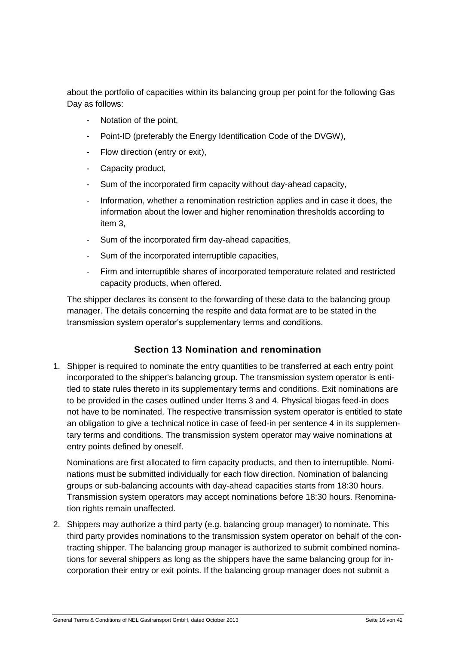about the portfolio of capacities within its balancing group per point for the following Gas Day as follows:

- Notation of the point,
- Point-ID (preferably the Energy Identification Code of the DVGW),
- Flow direction (entry or exit),
- Capacity product,
- Sum of the incorporated firm capacity without day-ahead capacity,
- Information, whether a renomination restriction applies and in case it does, the information about the lower and higher renomination thresholds according to item 3,
- Sum of the incorporated firm day-ahead capacities,
- Sum of the incorporated interruptible capacities,
- Firm and interruptible shares of incorporated temperature related and restricted capacity products, when offered.

The shipper declares its consent to the forwarding of these data to the balancing group manager. The details concerning the respite and data format are to be stated in the transmission system operator's supplementary terms and conditions.

#### **Section 13 Nomination and renomination**

<span id="page-15-0"></span>1. Shipper is required to nominate the entry quantities to be transferred at each entry point incorporated to the shipper's balancing group. The transmission system operator is entitled to state rules thereto in its supplementary terms and conditions. Exit nominations are to be provided in the cases outlined under Items 3 and 4. Physical biogas feed-in does not have to be nominated. The respective transmission system operator is entitled to state an obligation to give a technical notice in case of feed-in per sentence 4 in its supplementary terms and conditions. The transmission system operator may waive nominations at entry points defined by oneself.

Nominations are first allocated to firm capacity products, and then to interruptible. Nominations must be submitted individually for each flow direction. Nomination of balancing groups or sub-balancing accounts with day-ahead capacities starts from 18:30 hours. Transmission system operators may accept nominations before 18:30 hours. Renomination rights remain unaffected.

2. Shippers may authorize a third party (e.g. balancing group manager) to nominate. This third party provides nominations to the transmission system operator on behalf of the contracting shipper. The balancing group manager is authorized to submit combined nominations for several shippers as long as the shippers have the same balancing group for incorporation their entry or exit points. If the balancing group manager does not submit a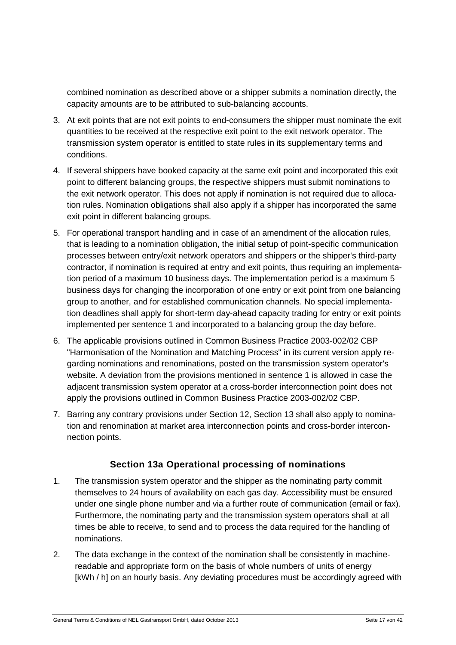combined nomination as described above or a shipper submits a nomination directly, the capacity amounts are to be attributed to sub-balancing accounts.

- 3. At exit points that are not exit points to end-consumers the shipper must nominate the exit quantities to be received at the respective exit point to the exit network operator. The transmission system operator is entitled to state rules in its supplementary terms and conditions.
- 4. If several shippers have booked capacity at the same exit point and incorporated this exit point to different balancing groups, the respective shippers must submit nominations to the exit network operator. This does not apply if nomination is not required due to allocation rules. Nomination obligations shall also apply if a shipper has incorporated the same exit point in different balancing groups.
- 5. For operational transport handling and in case of an amendment of the allocation rules, that is leading to a nomination obligation, the initial setup of point-specific communication processes between entry/exit network operators and shippers or the shipper's third-party contractor, if nomination is required at entry and exit points, thus requiring an implementation period of a maximum 10 business days. The implementation period is a maximum 5 business days for changing the incorporation of one entry or exit point from one balancing group to another, and for established communication channels. No special implementation deadlines shall apply for short-term day-ahead capacity trading for entry or exit points implemented per sentence 1 and incorporated to a balancing group the day before.
- 6. The applicable provisions outlined in Common Business Practice 2003-002/02 CBP "Harmonisation of the Nomination and Matching Process" in its current version apply regarding nominations and renominations, posted on the transmission system operator's website. A deviation from the provisions mentioned in sentence 1 is allowed in case the adjacent transmission system operator at a cross-border interconnection point does not apply the provisions outlined in Common Business Practice 2003-002/02 CBP.
- 7. Barring any contrary provisions under Section 12, Section 13 shall also apply to nomination and renomination at market area interconnection points and cross-border interconnection points.

#### **Section 13a Operational processing of nominations**

- <span id="page-16-0"></span>1. The transmission system operator and the shipper as the nominating party commit themselves to 24 hours of availability on each gas day. Accessibility must be ensured under one single phone number and via a further route of communication (email or fax). Furthermore, the nominating party and the transmission system operators shall at all times be able to receive, to send and to process the data required for the handling of nominations.
- 2. The data exchange in the context of the nomination shall be consistently in machinereadable and appropriate form on the basis of whole numbers of units of energy [kWh / h] on an hourly basis. Any deviating procedures must be accordingly agreed with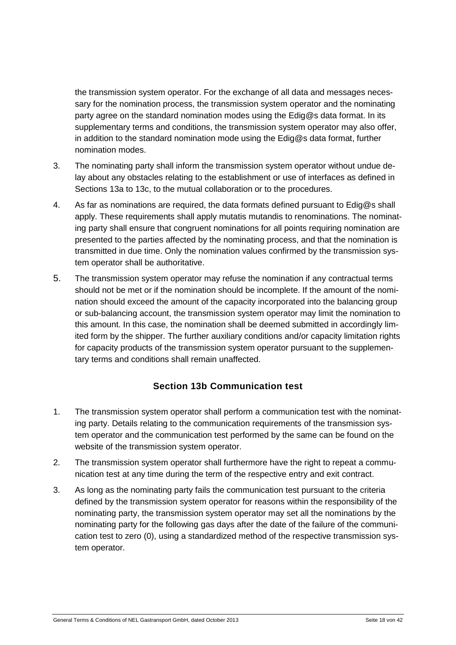the transmission system operator. For the exchange of all data and messages necessary for the nomination process, the transmission system operator and the nominating party agree on the standard nomination modes using the Edig@s data format. In its supplementary terms and conditions, the transmission system operator may also offer, in addition to the standard nomination mode using the Edig@s data format, further nomination modes.

- 3. The nominating party shall inform the transmission system operator without undue delay about any obstacles relating to the establishment or use of interfaces as defined in Sections 13a to 13c, to the mutual collaboration or to the procedures.
- 4. As far as nominations are required, the data formats defined pursuant to Edig@s shall apply. These requirements shall apply mutatis mutandis to renominations. The nominating party shall ensure that congruent nominations for all points requiring nomination are presented to the parties affected by the nominating process, and that the nomination is transmitted in due time. Only the nomination values confirmed by the transmission system operator shall be authoritative.
- 5. The transmission system operator may refuse the nomination if any contractual terms should not be met or if the nomination should be incomplete. If the amount of the nomination should exceed the amount of the capacity incorporated into the balancing group or sub-balancing account, the transmission system operator may limit the nomination to this amount. In this case, the nomination shall be deemed submitted in accordingly limited form by the shipper. The further auxiliary conditions and/or capacity limitation rights for capacity products of the transmission system operator pursuant to the supplementary terms and conditions shall remain unaffected.

#### **Section 13b Communication test**

- <span id="page-17-0"></span>1. The transmission system operator shall perform a communication test with the nominating party. Details relating to the communication requirements of the transmission system operator and the communication test performed by the same can be found on the website of the transmission system operator.
- 2. The transmission system operator shall furthermore have the right to repeat a communication test at any time during the term of the respective entry and exit contract.
- 3. As long as the nominating party fails the communication test pursuant to the criteria defined by the transmission system operator for reasons within the responsibility of the nominating party, the transmission system operator may set all the nominations by the nominating party for the following gas days after the date of the failure of the communication test to zero (0), using a standardized method of the respective transmission system operator.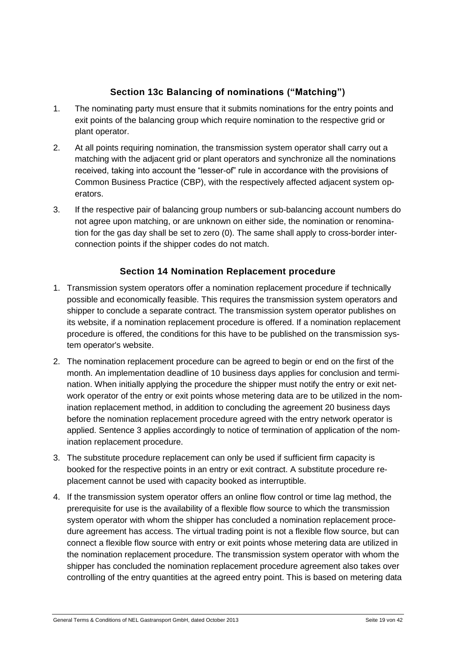# **Section 13c Balancing of nominations ("Matching")**

- <span id="page-18-0"></span>1. The nominating party must ensure that it submits nominations for the entry points and exit points of the balancing group which require nomination to the respective grid or plant operator.
- 2. At all points requiring nomination, the transmission system operator shall carry out a matching with the adjacent grid or plant operators and synchronize all the nominations received, taking into account the "lesser-of" rule in accordance with the provisions of Common Business Practice (CBP), with the respectively affected adjacent system operators.
- 3. If the respective pair of balancing group numbers or sub-balancing account numbers do not agree upon matching, or are unknown on either side, the nomination or renomination for the gas day shall be set to zero (0). The same shall apply to cross-border interconnection points if the shipper codes do not match.

# **Section 14 Nomination Replacement procedure**

- <span id="page-18-1"></span>1. Transmission system operators offer a nomination replacement procedure if technically possible and economically feasible. This requires the transmission system operators and shipper to conclude a separate contract. The transmission system operator publishes on its website, if a nomination replacement procedure is offered. If a nomination replacement procedure is offered, the conditions for this have to be published on the transmission system operator's website.
- 2. The nomination replacement procedure can be agreed to begin or end on the first of the month. An implementation deadline of 10 business days applies for conclusion and termination. When initially applying the procedure the shipper must notify the entry or exit network operator of the entry or exit points whose metering data are to be utilized in the nomination replacement method, in addition to concluding the agreement 20 business days before the nomination replacement procedure agreed with the entry network operator is applied. Sentence 3 applies accordingly to notice of termination of application of the nomination replacement procedure.
- 3. The substitute procedure replacement can only be used if sufficient firm capacity is booked for the respective points in an entry or exit contract. A substitute procedure replacement cannot be used with capacity booked as interruptible.
- 4. If the transmission system operator offers an online flow control or time lag method, the prerequisite for use is the availability of a flexible flow source to which the transmission system operator with whom the shipper has concluded a nomination replacement procedure agreement has access. The virtual trading point is not a flexible flow source, but can connect a flexible flow source with entry or exit points whose metering data are utilized in the nomination replacement procedure. The transmission system operator with whom the shipper has concluded the nomination replacement procedure agreement also takes over controlling of the entry quantities at the agreed entry point. This is based on metering data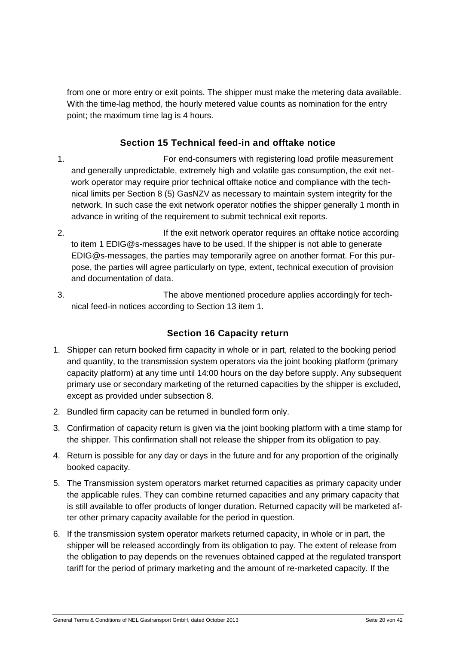from one or more entry or exit points. The shipper must make the metering data available. With the time-lag method, the hourly metered value counts as nomination for the entry point; the maximum time lag is 4 hours.

# **Section 15 Technical feed-in and offtake notice**

- <span id="page-19-0"></span>1. For end-consumers with registering load profile measurement and generally unpredictable, extremely high and volatile gas consumption, the exit network operator may require prior technical offtake notice and compliance with the technical limits per Section 8 (5) GasNZV as necessary to maintain system integrity for the network. In such case the exit network operator notifies the shipper generally 1 month in advance in writing of the requirement to submit technical exit reports.
- 2. If the exit network operator requires an offtake notice according to item 1 EDIG@s-messages have to be used. If the shipper is not able to generate EDIG@s-messages, the parties may temporarily agree on another format. For this purpose, the parties will agree particularly on type, extent, technical execution of provision and documentation of data.
- <span id="page-19-1"></span>3. The above mentioned procedure applies accordingly for technical feed-in notices according to Section 13 item 1.

#### **Section 16 Capacity return**

- 1. Shipper can return booked firm capacity in whole or in part, related to the booking period and quantity, to the transmission system operators via the joint booking platform (primary capacity platform) at any time until 14:00 hours on the day before supply. Any subsequent primary use or secondary marketing of the returned capacities by the shipper is excluded, except as provided under subsection 8.
- 2. Bundled firm capacity can be returned in bundled form only.
- 3. Confirmation of capacity return is given via the joint booking platform with a time stamp for the shipper. This confirmation shall not release the shipper from its obligation to pay.
- 4. Return is possible for any day or days in the future and for any proportion of the originally booked capacity.
- 5. The Transmission system operators market returned capacities as primary capacity under the applicable rules. They can combine returned capacities and any primary capacity that is still available to offer products of longer duration. Returned capacity will be marketed after other primary capacity available for the period in question.
- 6. If the transmission system operator markets returned capacity, in whole or in part, the shipper will be released accordingly from its obligation to pay. The extent of release from the obligation to pay depends on the revenues obtained capped at the regulated transport tariff for the period of primary marketing and the amount of re-marketed capacity. If the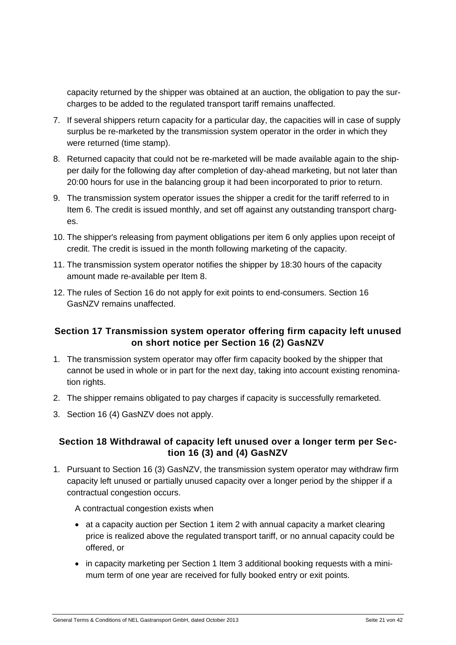capacity returned by the shipper was obtained at an auction, the obligation to pay the surcharges to be added to the regulated transport tariff remains unaffected.

- 7. If several shippers return capacity for a particular day, the capacities will in case of supply surplus be re-marketed by the transmission system operator in the order in which they were returned (time stamp).
- 8. Returned capacity that could not be re-marketed will be made available again to the shipper daily for the following day after completion of day-ahead marketing, but not later than 20:00 hours for use in the balancing group it had been incorporated to prior to return.
- 9. The transmission system operator issues the shipper a credit for the tariff referred to in Item 6. The credit is issued monthly, and set off against any outstanding transport charges.
- 10. The shipper's releasing from payment obligations per item 6 only applies upon receipt of credit. The credit is issued in the month following marketing of the capacity.
- 11. The transmission system operator notifies the shipper by 18:30 hours of the capacity amount made re-available per Item 8.
- 12. The rules of Section 16 do not apply for exit points to end-consumers. Section 16 GasNZV remains unaffected.

#### <span id="page-20-0"></span>**Section 17 Transmission system operator offering firm capacity left unused on short notice per Section 16 (2) GasNZV**

- 1. The transmission system operator may offer firm capacity booked by the shipper that cannot be used in whole or in part for the next day, taking into account existing renomination rights.
- 2. The shipper remains obligated to pay charges if capacity is successfully remarketed.
- 3. Section 16 (4) GasNZV does not apply.

#### <span id="page-20-1"></span>**Section 18 Withdrawal of capacity left unused over a longer term per Section 16 (3) and (4) GasNZV**

1. Pursuant to Section 16 (3) GasNZV, the transmission system operator may withdraw firm capacity left unused or partially unused capacity over a longer period by the shipper if a contractual congestion occurs.

A contractual congestion exists when

- at a capacity auction per Section 1 item 2 with annual capacity a market clearing price is realized above the regulated transport tariff, or no annual capacity could be offered, or
- in capacity marketing per Section 1 Item 3 additional booking requests with a minimum term of one year are received for fully booked entry or exit points.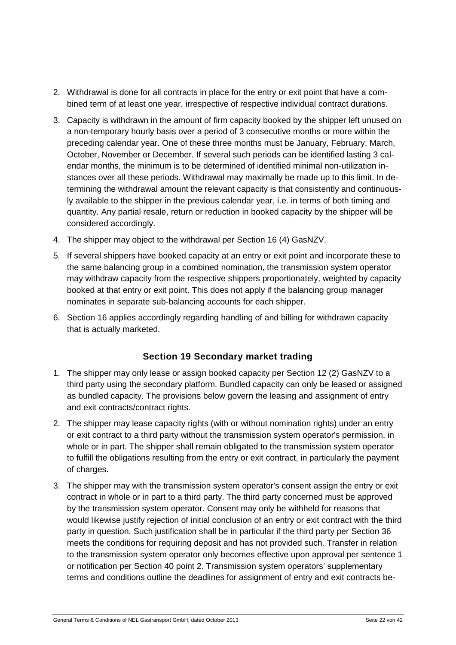- 2. Withdrawal is done for all contracts in place for the entry or exit point that have a combined term of at least one year, irrespective of respective individual contract durations.
- 3. Capacity is withdrawn in the amount of firm capacity booked by the shipper left unused on a non-temporary hourly basis over a period of 3 consecutive months or more within the preceding calendar year. One of these three months must be January, February, March, October, November or December. If several such periods can be identified lasting 3 calendar months, the minimum is to be determined of identified minimal non-utilization instances over all these periods. Withdrawal may maximally be made up to this limit. In determining the withdrawal amount the relevant capacity is that consistently and continuously available to the shipper in the previous calendar year, i.e. in terms of both timing and quantity. Any partial resale, return or reduction in booked capacity by the shipper will be considered accordingly.
- 4. The shipper may object to the withdrawal per Section 16 (4) GasNZV.
- 5. If several shippers have booked capacity at an entry or exit point and incorporate these to the same balancing group in a combined nomination, the transmission system operator may withdraw capacity from the respective shippers proportionately, weighted by capacity booked at that entry or exit point. This does not apply if the balancing group manager nominates in separate sub-balancing accounts for each shipper.
- <span id="page-21-0"></span>6. Section 16 applies accordingly regarding handling of and billing for withdrawn capacity that is actually marketed.

#### **Section 19 Secondary market trading**

- 1. The shipper may only lease or assign booked capacity per Section 12 (2) GasNZV to a third party using the secondary platform. Bundled capacity can only be leased or assigned as bundled capacity. The provisions below govern the leasing and assignment of entry and exit contracts/contract rights.
- 2. The shipper may lease capacity rights (with or without nomination rights) under an entry or exit contract to a third party without the transmission system operator's permission, in whole or in part. The shipper shall remain obligated to the transmission system operator to fulfill the obligations resulting from the entry or exit contract, in particularly the payment of charges.
- 3. The shipper may with the transmission system operator's consent assign the entry or exit contract in whole or in part to a third party. The third party concerned must be approved by the transmission system operator. Consent may only be withheld for reasons that would likewise justify rejection of initial conclusion of an entry or exit contract with the third party in question. Such justification shall be in particular if the third party per Section 36 meets the conditions for requiring deposit and has not provided such. Transfer in relation to the transmission system operator only becomes effective upon approval per sentence 1 or notification per Section 40 point 2. Transmission system operators' supplementary terms and conditions outline the deadlines for assignment of entry and exit contracts be-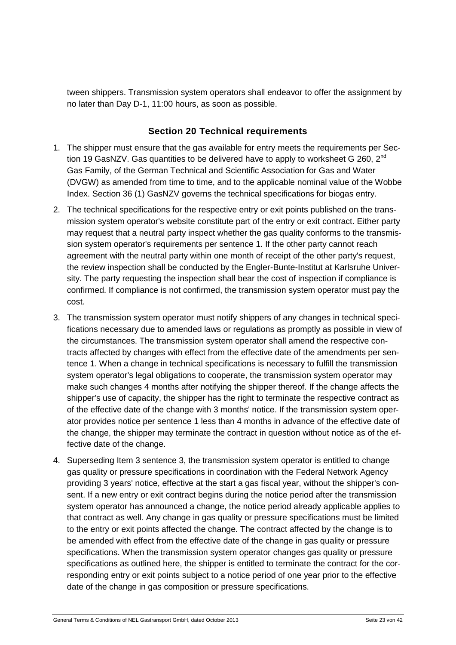tween shippers. Transmission system operators shall endeavor to offer the assignment by no later than Day D-1, 11:00 hours, as soon as possible.

#### **Section 20 Technical requirements**

- <span id="page-22-0"></span>1. The shipper must ensure that the gas available for entry meets the requirements per Section 19 GasNZV. Gas quantities to be delivered have to apply to worksheet G 260, 2<sup>nd</sup> Gas Family, of the German Technical and Scientific Association for Gas and Water (DVGW) as amended from time to time, and to the applicable nominal value of the Wobbe Index. Section 36 (1) GasNZV governs the technical specifications for biogas entry.
- 2. The technical specifications for the respective entry or exit points published on the transmission system operator's website constitute part of the entry or exit contract. Either party may request that a neutral party inspect whether the gas quality conforms to the transmission system operator's requirements per sentence 1. If the other party cannot reach agreement with the neutral party within one month of receipt of the other party's request, the review inspection shall be conducted by the Engler-Bunte-Institut at Karlsruhe University. The party requesting the inspection shall bear the cost of inspection if compliance is confirmed. If compliance is not confirmed, the transmission system operator must pay the cost.
- 3. The transmission system operator must notify shippers of any changes in technical specifications necessary due to amended laws or regulations as promptly as possible in view of the circumstances. The transmission system operator shall amend the respective contracts affected by changes with effect from the effective date of the amendments per sentence 1. When a change in technical specifications is necessary to fulfill the transmission system operator's legal obligations to cooperate, the transmission system operator may make such changes 4 months after notifying the shipper thereof. If the change affects the shipper's use of capacity, the shipper has the right to terminate the respective contract as of the effective date of the change with 3 months' notice. If the transmission system operator provides notice per sentence 1 less than 4 months in advance of the effective date of the change, the shipper may terminate the contract in question without notice as of the effective date of the change.
- 4. Superseding Item 3 sentence 3, the transmission system operator is entitled to change gas quality or pressure specifications in coordination with the Federal Network Agency providing 3 years' notice, effective at the start a gas fiscal year, without the shipper's consent. If a new entry or exit contract begins during the notice period after the transmission system operator has announced a change, the notice period already applicable applies to that contract as well. Any change in gas quality or pressure specifications must be limited to the entry or exit points affected the change. The contract affected by the change is to be amended with effect from the effective date of the change in gas quality or pressure specifications. When the transmission system operator changes gas quality or pressure specifications as outlined here, the shipper is entitled to terminate the contract for the corresponding entry or exit points subject to a notice period of one year prior to the effective date of the change in gas composition or pressure specifications.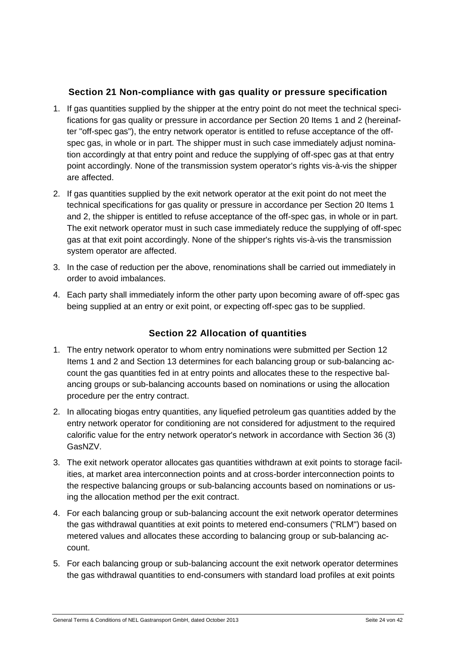#### **Section 21 Non-compliance with gas quality or pressure specification**

- <span id="page-23-0"></span>1. If gas quantities supplied by the shipper at the entry point do not meet the technical specifications for gas quality or pressure in accordance per Section 20 Items 1 and 2 (hereinafter "off-spec gas"), the entry network operator is entitled to refuse acceptance of the offspec gas, in whole or in part. The shipper must in such case immediately adjust nomination accordingly at that entry point and reduce the supplying of off-spec gas at that entry point accordingly. None of the transmission system operator's rights vis-à-vis the shipper are affected.
- 2. If gas quantities supplied by the exit network operator at the exit point do not meet the technical specifications for gas quality or pressure in accordance per Section 20 Items 1 and 2, the shipper is entitled to refuse acceptance of the off-spec gas, in whole or in part. The exit network operator must in such case immediately reduce the supplying of off-spec gas at that exit point accordingly. None of the shipper's rights vis-à-vis the transmission system operator are affected.
- 3. In the case of reduction per the above, renominations shall be carried out immediately in order to avoid imbalances.
- <span id="page-23-1"></span>4. Each party shall immediately inform the other party upon becoming aware of off-spec gas being supplied at an entry or exit point, or expecting off-spec gas to be supplied.

#### **Section 22 Allocation of quantities**

- 1. The entry network operator to whom entry nominations were submitted per Section 12 Items 1 and 2 and Section 13 determines for each balancing group or sub-balancing account the gas quantities fed in at entry points and allocates these to the respective balancing groups or sub-balancing accounts based on nominations or using the allocation procedure per the entry contract.
- 2. In allocating biogas entry quantities, any liquefied petroleum gas quantities added by the entry network operator for conditioning are not considered for adjustment to the required calorific value for the entry network operator's network in accordance with Section 36 (3) GasNZV.
- 3. The exit network operator allocates gas quantities withdrawn at exit points to storage facilities, at market area interconnection points and at cross-border interconnection points to the respective balancing groups or sub-balancing accounts based on nominations or using the allocation method per the exit contract.
- 4. For each balancing group or sub-balancing account the exit network operator determines the gas withdrawal quantities at exit points to metered end-consumers ("RLM") based on metered values and allocates these according to balancing group or sub-balancing account.
- 5. For each balancing group or sub-balancing account the exit network operator determines the gas withdrawal quantities to end-consumers with standard load profiles at exit points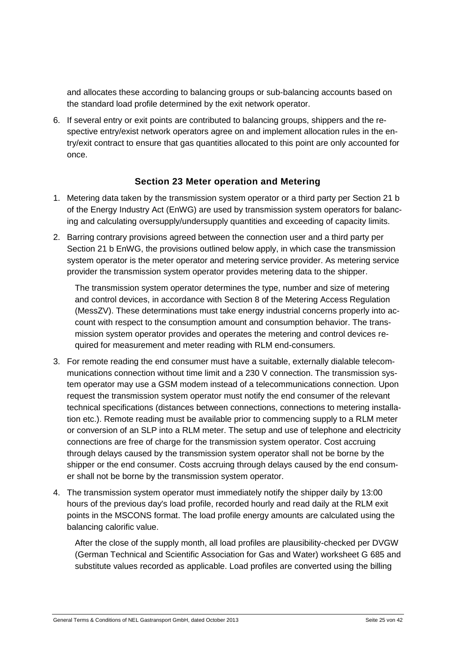and allocates these according to balancing groups or sub-balancing accounts based on the standard load profile determined by the exit network operator.

6. If several entry or exit points are contributed to balancing groups, shippers and the respective entry/exist network operators agree on and implement allocation rules in the entry/exit contract to ensure that gas quantities allocated to this point are only accounted for once.

#### **Section 23 Meter operation and Metering**

- <span id="page-24-0"></span>1. Metering data taken by the transmission system operator or a third party per Section 21 b of the Energy Industry Act (EnWG) are used by transmission system operators for balancing and calculating oversupply/undersupply quantities and exceeding of capacity limits.
- 2. Barring contrary provisions agreed between the connection user and a third party per Section 21 b EnWG, the provisions outlined below apply, in which case the transmission system operator is the meter operator and metering service provider. As metering service provider the transmission system operator provides metering data to the shipper.

The transmission system operator determines the type, number and size of metering and control devices, in accordance with Section 8 of the Metering Access Regulation (MessZV). These determinations must take energy industrial concerns properly into account with respect to the consumption amount and consumption behavior. The transmission system operator provides and operates the metering and control devices required for measurement and meter reading with RLM end-consumers.

- 3. For remote reading the end consumer must have a suitable, externally dialable telecommunications connection without time limit and a 230 V connection. The transmission system operator may use a GSM modem instead of a telecommunications connection. Upon request the transmission system operator must notify the end consumer of the relevant technical specifications (distances between connections, connections to metering installation etc.). Remote reading must be available prior to commencing supply to a RLM meter or conversion of an SLP into a RLM meter. The setup and use of telephone and electricity connections are free of charge for the transmission system operator. Cost accruing through delays caused by the transmission system operator shall not be borne by the shipper or the end consumer. Costs accruing through delays caused by the end consumer shall not be borne by the transmission system operator.
- 4. The transmission system operator must immediately notify the shipper daily by 13:00 hours of the previous day's load profile, recorded hourly and read daily at the RLM exit points in the MSCONS format. The load profile energy amounts are calculated using the balancing calorific value.

After the close of the supply month, all load profiles are plausibility-checked per DVGW (German Technical and Scientific Association for Gas and Water) worksheet G 685 and substitute values recorded as applicable. Load profiles are converted using the billing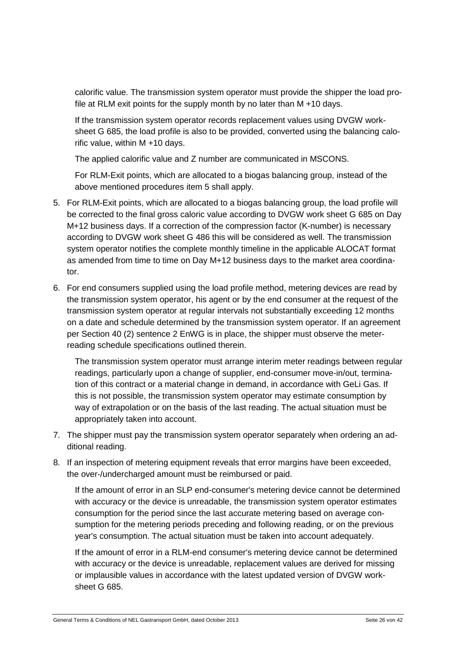calorific value. The transmission system operator must provide the shipper the load profile at RLM exit points for the supply month by no later than M +10 days.

If the transmission system operator records replacement values using DVGW worksheet G 685, the load profile is also to be provided, converted using the balancing calorific value, within M +10 days.

The applied calorific value and Z number are communicated in MSCONS.

For RLM-Exit points, which are allocated to a biogas balancing group, instead of the above mentioned procedures item 5 shall apply.

- 5. For RLM-Exit points, which are allocated to a biogas balancing group, the load profile will be corrected to the final gross caloric value according to DVGW work sheet G 685 on Day M+12 business days. If a correction of the compression factor (K-number) is necessary according to DVGW work sheet G 486 this will be considered as well. The transmission system operator notifies the complete monthly timeline in the applicable ALOCAT format as amended from time to time on Day M+12 business days to the market area coordinator.
- 6. For end consumers supplied using the load profile method, metering devices are read by the transmission system operator, his agent or by the end consumer at the request of the transmission system operator at regular intervals not substantially exceeding 12 months on a date and schedule determined by the transmission system operator. If an agreement per Section 40 (2) sentence 2 EnWG is in place, the shipper must observe the meterreading schedule specifications outlined therein.

The transmission system operator must arrange interim meter readings between regular readings, particularly upon a change of supplier, end-consumer move-in/out, termination of this contract or a material change in demand, in accordance with GeLi Gas. If this is not possible, the transmission system operator may estimate consumption by way of extrapolation or on the basis of the last reading. The actual situation must be appropriately taken into account.

- 7. The shipper must pay the transmission system operator separately when ordering an additional reading.
- 8. If an inspection of metering equipment reveals that error margins have been exceeded, the over-/undercharged amount must be reimbursed or paid.

If the amount of error in an SLP end-consumer's metering device cannot be determined with accuracy or the device is unreadable, the transmission system operator estimates consumption for the period since the last accurate metering based on average consumption for the metering periods preceding and following reading, or on the previous year's consumption. The actual situation must be taken into account adequately.

If the amount of error in a RLM-end consumer's metering device cannot be determined with accuracy or the device is unreadable, replacement values are derived for missing or implausible values in accordance with the latest updated version of DVGW worksheet G 685.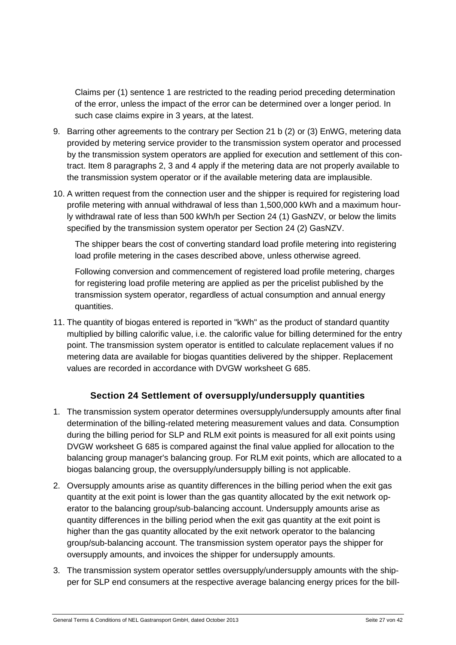Claims per (1) sentence 1 are restricted to the reading period preceding determination of the error, unless the impact of the error can be determined over a longer period. In such case claims expire in 3 years, at the latest.

- 9. Barring other agreements to the contrary per Section 21 b (2) or (3) EnWG, metering data provided by metering service provider to the transmission system operator and processed by the transmission system operators are applied for execution and settlement of this contract. Item 8 paragraphs 2, 3 and 4 apply if the metering data are not properly available to the transmission system operator or if the available metering data are implausible.
- 10. A written request from the connection user and the shipper is required for registering load profile metering with annual withdrawal of less than 1,500,000 kWh and a maximum hourly withdrawal rate of less than 500 kWh/h per Section 24 (1) GasNZV, or below the limits specified by the transmission system operator per Section 24 (2) GasNZV.

The shipper bears the cost of converting standard load profile metering into registering load profile metering in the cases described above, unless otherwise agreed.

Following conversion and commencement of registered load profile metering, charges for registering load profile metering are applied as per the pricelist published by the transmission system operator, regardless of actual consumption and annual energy quantities.

11. The quantity of biogas entered is reported in "kWh" as the product of standard quantity multiplied by billing calorific value, i.e. the calorific value for billing determined for the entry point. The transmission system operator is entitled to calculate replacement values if no metering data are available for biogas quantities delivered by the shipper. Replacement values are recorded in accordance with DVGW worksheet G 685.

#### **Section 24 Settlement of oversupply/undersupply quantities**

- <span id="page-26-0"></span>1. The transmission system operator determines oversupply/undersupply amounts after final determination of the billing-related metering measurement values and data. Consumption during the billing period for SLP and RLM exit points is measured for all exit points using DVGW worksheet G 685 is compared against the final value applied for allocation to the balancing group manager's balancing group. For RLM exit points, which are allocated to a biogas balancing group, the oversupply/undersupply billing is not applicable.
- 2. Oversupply amounts arise as quantity differences in the billing period when the exit gas quantity at the exit point is lower than the gas quantity allocated by the exit network operator to the balancing group/sub-balancing account. Undersupply amounts arise as quantity differences in the billing period when the exit gas quantity at the exit point is higher than the gas quantity allocated by the exit network operator to the balancing group/sub-balancing account. The transmission system operator pays the shipper for oversupply amounts, and invoices the shipper for undersupply amounts.
- 3. The transmission system operator settles oversupply/undersupply amounts with the shipper for SLP end consumers at the respective average balancing energy prices for the bill-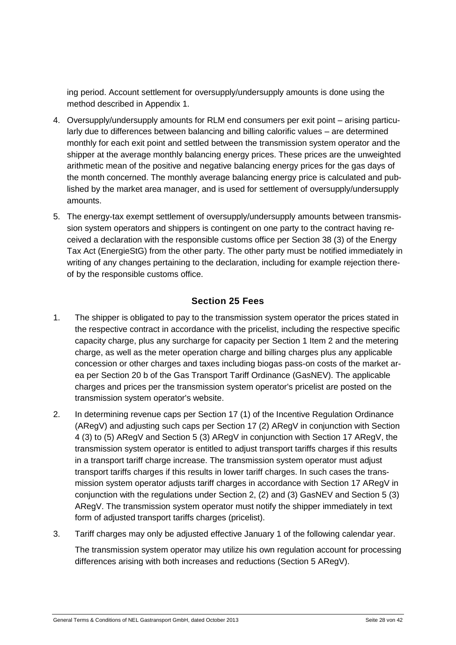ing period. Account settlement for oversupply/undersupply amounts is done using the method described in Appendix 1.

- 4. Oversupply/undersupply amounts for RLM end consumers per exit point arising particularly due to differences between balancing and billing calorific values – are determined monthly for each exit point and settled between the transmission system operator and the shipper at the average monthly balancing energy prices. These prices are the unweighted arithmetic mean of the positive and negative balancing energy prices for the gas days of the month concerned. The monthly average balancing energy price is calculated and published by the market area manager, and is used for settlement of oversupply/undersupply amounts.
- 5. The energy-tax exempt settlement of oversupply/undersupply amounts between transmission system operators and shippers is contingent on one party to the contract having received a declaration with the responsible customs office per Section 38 (3) of the Energy Tax Act (EnergieStG) from the other party. The other party must be notified immediately in writing of any changes pertaining to the declaration, including for example rejection thereof by the responsible customs office.

# **Section 25 Fees**

- <span id="page-27-0"></span>1. The shipper is obligated to pay to the transmission system operator the prices stated in the respective contract in accordance with the pricelist, including the respective specific capacity charge, plus any surcharge for capacity per Section 1 Item 2 and the metering charge, as well as the meter operation charge and billing charges plus any applicable concession or other charges and taxes including biogas pass-on costs of the market area per Section 20 b of the Gas Transport Tariff Ordinance (GasNEV). The applicable charges and prices per the transmission system operator's pricelist are posted on the transmission system operator's website.
- 2. In determining revenue caps per Section 17 (1) of the Incentive Regulation Ordinance (ARegV) and adjusting such caps per Section 17 (2) ARegV in conjunction with Section 4 (3) to (5) ARegV and Section 5 (3) ARegV in conjunction with Section 17 ARegV, the transmission system operator is entitled to adjust transport tariffs charges if this results in a transport tariff charge increase. The transmission system operator must adjust transport tariffs charges if this results in lower tariff charges. In such cases the transmission system operator adjusts tariff charges in accordance with Section 17 ARegV in conjunction with the regulations under Section 2, (2) and (3) GasNEV and Section 5 (3) ARegV. The transmission system operator must notify the shipper immediately in text form of adjusted transport tariffs charges (pricelist).
- 3. Tariff charges may only be adjusted effective January 1 of the following calendar year.

The transmission system operator may utilize his own regulation account for processing differences arising with both increases and reductions (Section 5 ARegV).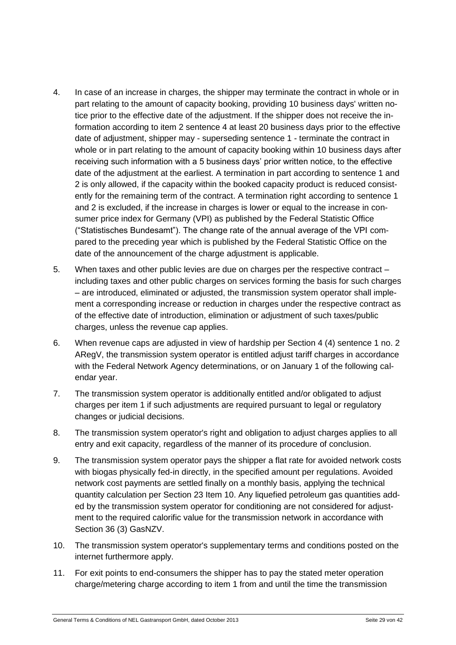- 4. In case of an increase in charges, the shipper may terminate the contract in whole or in part relating to the amount of capacity booking, providing 10 business days' written notice prior to the effective date of the adjustment. If the shipper does not receive the information according to item 2 sentence 4 at least 20 business days prior to the effective date of adjustment, shipper may - superseding sentence 1 - terminate the contract in whole or in part relating to the amount of capacity booking within 10 business days after receiving such information with a 5 business days' prior written notice, to the effective date of the adjustment at the earliest. A termination in part according to sentence 1 and 2 is only allowed, if the capacity within the booked capacity product is reduced consistently for the remaining term of the contract. A termination right according to sentence 1 and 2 is excluded, if the increase in charges is lower or equal to the increase in consumer price index for Germany (VPI) as published by the Federal Statistic Office ("Statistisches Bundesamt"). The change rate of the annual average of the VPI compared to the preceding year which is published by the Federal Statistic Office on the date of the announcement of the charge adjustment is applicable.
- 5. When taxes and other public levies are due on charges per the respective contract including taxes and other public charges on services forming the basis for such charges – are introduced, eliminated or adjusted, the transmission system operator shall implement a corresponding increase or reduction in charges under the respective contract as of the effective date of introduction, elimination or adjustment of such taxes/public charges, unless the revenue cap applies.
- 6. When revenue caps are adjusted in view of hardship per Section 4 (4) sentence 1 no. 2 ARegV, the transmission system operator is entitled adjust tariff charges in accordance with the Federal Network Agency determinations, or on January 1 of the following calendar year.
- 7. The transmission system operator is additionally entitled and/or obligated to adjust charges per item 1 if such adjustments are required pursuant to legal or regulatory changes or judicial decisions.
- 8. The transmission system operator's right and obligation to adjust charges applies to all entry and exit capacity, regardless of the manner of its procedure of conclusion.
- 9. The transmission system operator pays the shipper a flat rate for avoided network costs with biogas physically fed-in directly, in the specified amount per regulations. Avoided network cost payments are settled finally on a monthly basis, applying the technical quantity calculation per Section 23 Item 10. Any liquefied petroleum gas quantities added by the transmission system operator for conditioning are not considered for adjustment to the required calorific value for the transmission network in accordance with Section 36 (3) GasNZV.
- 10. The transmission system operator's supplementary terms and conditions posted on the internet furthermore apply.
- 11. For exit points to end-consumers the shipper has to pay the stated meter operation charge/metering charge according to item 1 from and until the time the transmission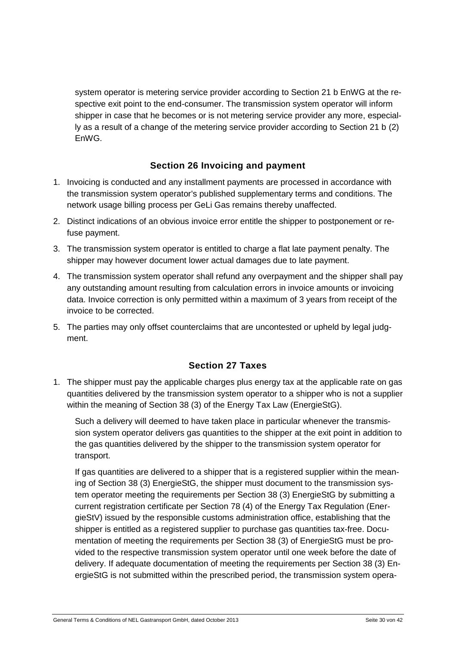system operator is metering service provider according to Section 21 b EnWG at the respective exit point to the end-consumer. The transmission system operator will inform shipper in case that he becomes or is not metering service provider any more, especially as a result of a change of the metering service provider according to Section 21 b (2) EnWG.

#### **Section 26 Invoicing and payment**

- <span id="page-29-0"></span>1. Invoicing is conducted and any installment payments are processed in accordance with the transmission system operator's published supplementary terms and conditions. The network usage billing process per GeLi Gas remains thereby unaffected.
- 2. Distinct indications of an obvious invoice error entitle the shipper to postponement or refuse payment.
- 3. The transmission system operator is entitled to charge a flat late payment penalty. The shipper may however document lower actual damages due to late payment.
- 4. The transmission system operator shall refund any overpayment and the shipper shall pay any outstanding amount resulting from calculation errors in invoice amounts or invoicing data. Invoice correction is only permitted within a maximum of 3 years from receipt of the invoice to be corrected.
- <span id="page-29-1"></span>5. The parties may only offset counterclaims that are uncontested or upheld by legal judgment.

# **Section 27 Taxes**

1. The shipper must pay the applicable charges plus energy tax at the applicable rate on gas quantities delivered by the transmission system operator to a shipper who is not a supplier within the meaning of Section 38 (3) of the Energy Tax Law (EnergieStG).

Such a delivery will deemed to have taken place in particular whenever the transmission system operator delivers gas quantities to the shipper at the exit point in addition to the gas quantities delivered by the shipper to the transmission system operator for transport.

If gas quantities are delivered to a shipper that is a registered supplier within the meaning of Section 38 (3) EnergieStG, the shipper must document to the transmission system operator meeting the requirements per Section 38 (3) EnergieStG by submitting a current registration certificate per Section 78 (4) of the Energy Tax Regulation (EnergieStV) issued by the responsible customs administration office, establishing that the shipper is entitled as a registered supplier to purchase gas quantities tax-free. Documentation of meeting the requirements per Section 38 (3) of EnergieStG must be provided to the respective transmission system operator until one week before the date of delivery. If adequate documentation of meeting the requirements per Section 38 (3) EnergieStG is not submitted within the prescribed period, the transmission system opera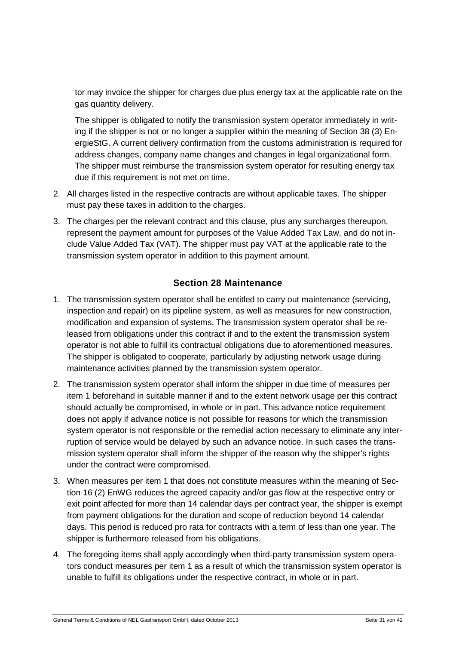tor may invoice the shipper for charges due plus energy tax at the applicable rate on the gas quantity delivery.

The shipper is obligated to notify the transmission system operator immediately in writing if the shipper is not or no longer a supplier within the meaning of Section 38 (3) EnergieStG. A current delivery confirmation from the customs administration is required for address changes, company name changes and changes in legal organizational form. The shipper must reimburse the transmission system operator for resulting energy tax due if this requirement is not met on time.

- 2. All charges listed in the respective contracts are without applicable taxes. The shipper must pay these taxes in addition to the charges.
- 3. The charges per the relevant contract and this clause, plus any surcharges thereupon, represent the payment amount for purposes of the Value Added Tax Law, and do not include Value Added Tax (VAT). The shipper must pay VAT at the applicable rate to the transmission system operator in addition to this payment amount.

#### **Section 28 Maintenance**

- <span id="page-30-0"></span>1. The transmission system operator shall be entitled to carry out maintenance (servicing, inspection and repair) on its pipeline system, as well as measures for new construction, modification and expansion of systems. The transmission system operator shall be released from obligations under this contract if and to the extent the transmission system operator is not able to fulfill its contractual obligations due to aforementioned measures. The shipper is obligated to cooperate, particularly by adjusting network usage during maintenance activities planned by the transmission system operator.
- 2. The transmission system operator shall inform the shipper in due time of measures per item 1 beforehand in suitable manner if and to the extent network usage per this contract should actually be compromised, in whole or in part. This advance notice requirement does not apply if advance notice is not possible for reasons for which the transmission system operator is not responsible or the remedial action necessary to eliminate any interruption of service would be delayed by such an advance notice. In such cases the transmission system operator shall inform the shipper of the reason why the shipper's rights under the contract were compromised.
- 3. When measures per item 1 that does not constitute measures within the meaning of Section 16 (2) EnWG reduces the agreed capacity and/or gas flow at the respective entry or exit point affected for more than 14 calendar days per contract year, the shipper is exempt from payment obligations for the duration and scope of reduction beyond 14 calendar days. This period is reduced pro rata for contracts with a term of less than one year. The shipper is furthermore released from his obligations.
- 4. The foregoing items shall apply accordingly when third-party transmission system operators conduct measures per item 1 as a result of which the transmission system operator is unable to fulfill its obligations under the respective contract, in whole or in part.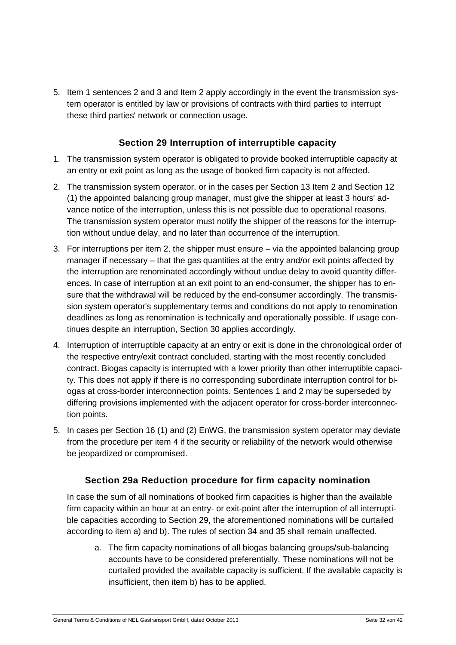5. Item 1 sentences 2 and 3 and Item 2 apply accordingly in the event the transmission system operator is entitled by law or provisions of contracts with third parties to interrupt these third parties' network or connection usage.

#### **Section 29 Interruption of interruptible capacity**

- <span id="page-31-0"></span>1. The transmission system operator is obligated to provide booked interruptible capacity at an entry or exit point as long as the usage of booked firm capacity is not affected.
- 2. The transmission system operator, or in the cases per Section 13 Item 2 and Section 12 (1) the appointed balancing group manager, must give the shipper at least 3 hours' advance notice of the interruption, unless this is not possible due to operational reasons. The transmission system operator must notify the shipper of the reasons for the interruption without undue delay, and no later than occurrence of the interruption.
- 3. For interruptions per item 2, the shipper must ensure via the appointed balancing group manager if necessary – that the gas quantities at the entry and/or exit points affected by the interruption are renominated accordingly without undue delay to avoid quantity differences. In case of interruption at an exit point to an end-consumer, the shipper has to ensure that the withdrawal will be reduced by the end-consumer accordingly. The transmission system operator's supplementary terms and conditions do not apply to renomination deadlines as long as renomination is technically and operationally possible. If usage continues despite an interruption, Section 30 applies accordingly.
- 4. Interruption of interruptible capacity at an entry or exit is done in the chronological order of the respective entry/exit contract concluded, starting with the most recently concluded contract. Biogas capacity is interrupted with a lower priority than other interruptible capacity. This does not apply if there is no corresponding subordinate interruption control for biogas at cross-border interconnection points. Sentences 1 and 2 may be superseded by differing provisions implemented with the adjacent operator for cross-border interconnection points.
- 5. In cases per Section 16 (1) and (2) EnWG, the transmission system operator may deviate from the procedure per item 4 if the security or reliability of the network would otherwise be jeopardized or compromised.

#### **Section 29a Reduction procedure for firm capacity nomination**

<span id="page-31-1"></span>In case the sum of all nominations of booked firm capacities is higher than the available firm capacity within an hour at an entry- or exit-point after the interruption of all interruptible capacities according to Section 29, the aforementioned nominations will be curtailed according to item a) and b). The rules of section 34 and 35 shall remain unaffected.

a. The firm capacity nominations of all biogas balancing groups/sub-balancing accounts have to be considered preferentially. These nominations will not be curtailed provided the available capacity is sufficient. If the available capacity is insufficient, then item b) has to be applied.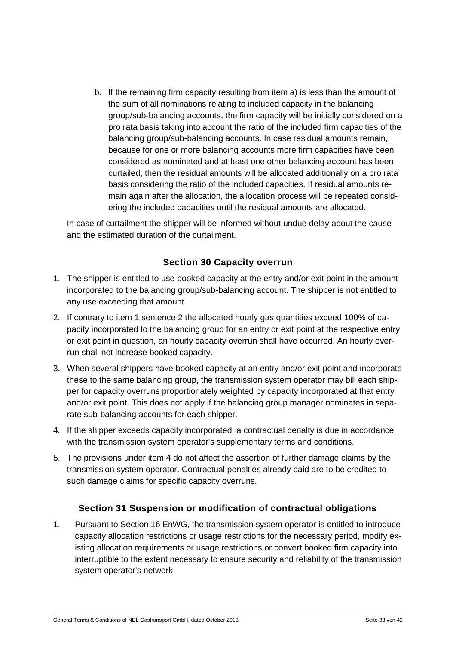b. If the remaining firm capacity resulting from item a) is less than the amount of the sum of all nominations relating to included capacity in the balancing group/sub-balancing accounts, the firm capacity will be initially considered on a pro rata basis taking into account the ratio of the included firm capacities of the balancing group/sub-balancing accounts. In case residual amounts remain, because for one or more balancing accounts more firm capacities have been considered as nominated and at least one other balancing account has been curtailed, then the residual amounts will be allocated additionally on a pro rata basis considering the ratio of the included capacities. If residual amounts remain again after the allocation, the allocation process will be repeated considering the included capacities until the residual amounts are allocated.

In case of curtailment the shipper will be informed without undue delay about the cause and the estimated duration of the curtailment.

#### **Section 30 Capacity overrun**

- <span id="page-32-0"></span>1. The shipper is entitled to use booked capacity at the entry and/or exit point in the amount incorporated to the balancing group/sub-balancing account. The shipper is not entitled to any use exceeding that amount.
- 2. If contrary to item 1 sentence 2 the allocated hourly gas quantities exceed 100% of capacity incorporated to the balancing group for an entry or exit point at the respective entry or exit point in question, an hourly capacity overrun shall have occurred. An hourly overrun shall not increase booked capacity.
- 3. When several shippers have booked capacity at an entry and/or exit point and incorporate these to the same balancing group, the transmission system operator may bill each shipper for capacity overruns proportionately weighted by capacity incorporated at that entry and/or exit point. This does not apply if the balancing group manager nominates in separate sub-balancing accounts for each shipper.
- 4. If the shipper exceeds capacity incorporated, a contractual penalty is due in accordance with the transmission system operator's supplementary terms and conditions.
- 5. The provisions under item 4 do not affect the assertion of further damage claims by the transmission system operator. Contractual penalties already paid are to be credited to such damage claims for specific capacity overruns.

#### <span id="page-32-1"></span>**Section 31 Suspension or modification of contractual obligations**

1. Pursuant to Section 16 EnWG, the transmission system operator is entitled to introduce capacity allocation restrictions or usage restrictions for the necessary period, modify existing allocation requirements or usage restrictions or convert booked firm capacity into interruptible to the extent necessary to ensure security and reliability of the transmission system operator's network.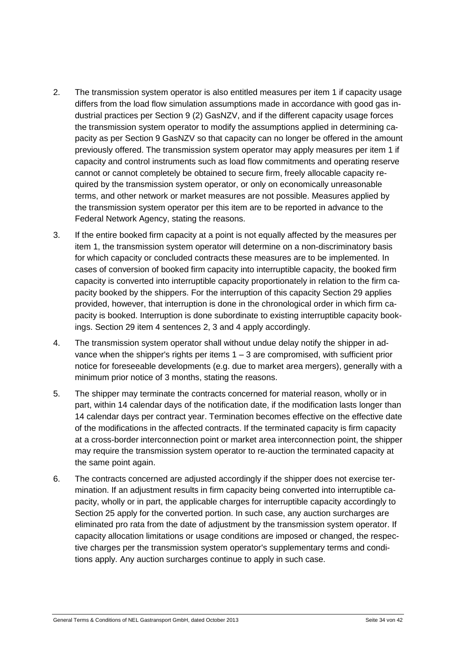- 2. The transmission system operator is also entitled measures per item 1 if capacity usage differs from the load flow simulation assumptions made in accordance with good gas industrial practices per Section 9 (2) GasNZV, and if the different capacity usage forces the transmission system operator to modify the assumptions applied in determining capacity as per Section 9 GasNZV so that capacity can no longer be offered in the amount previously offered. The transmission system operator may apply measures per item 1 if capacity and control instruments such as load flow commitments and operating reserve cannot or cannot completely be obtained to secure firm, freely allocable capacity required by the transmission system operator, or only on economically unreasonable terms, and other network or market measures are not possible. Measures applied by the transmission system operator per this item are to be reported in advance to the Federal Network Agency, stating the reasons.
- 3. If the entire booked firm capacity at a point is not equally affected by the measures per item 1, the transmission system operator will determine on a non-discriminatory basis for which capacity or concluded contracts these measures are to be implemented. In cases of conversion of booked firm capacity into interruptible capacity, the booked firm capacity is converted into interruptible capacity proportionately in relation to the firm capacity booked by the shippers. For the interruption of this capacity Section 29 applies provided, however, that interruption is done in the chronological order in which firm capacity is booked. Interruption is done subordinate to existing interruptible capacity bookings. Section 29 item 4 sentences 2, 3 and 4 apply accordingly.
- 4. The transmission system operator shall without undue delay notify the shipper in advance when the shipper's rights per items  $1 - 3$  are compromised, with sufficient prior notice for foreseeable developments (e.g. due to market area mergers), generally with a minimum prior notice of 3 months, stating the reasons.
- 5. The shipper may terminate the contracts concerned for material reason, wholly or in part, within 14 calendar days of the notification date, if the modification lasts longer than 14 calendar days per contract year. Termination becomes effective on the effective date of the modifications in the affected contracts. If the terminated capacity is firm capacity at a cross-border interconnection point or market area interconnection point, the shipper may require the transmission system operator to re-auction the terminated capacity at the same point again.
- 6. The contracts concerned are adjusted accordingly if the shipper does not exercise termination. If an adjustment results in firm capacity being converted into interruptible capacity, wholly or in part, the applicable charges for interruptible capacity accordingly to Section 25 apply for the converted portion. In such case, any auction surcharges are eliminated pro rata from the date of adjustment by the transmission system operator. If capacity allocation limitations or usage conditions are imposed or changed, the respective charges per the transmission system operator's supplementary terms and conditions apply. Any auction surcharges continue to apply in such case.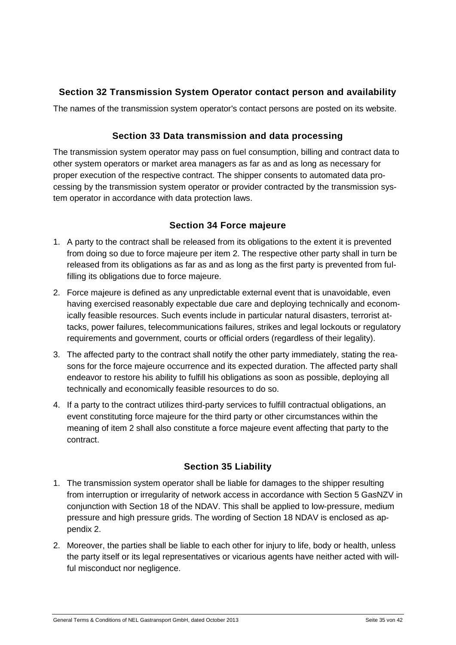# <span id="page-34-0"></span>**Section 32 Transmission System Operator contact person and availability**

<span id="page-34-1"></span>The names of the transmission system operator's contact persons are posted on its website.

#### **Section 33 Data transmission and data processing**

The transmission system operator may pass on fuel consumption, billing and contract data to other system operators or market area managers as far as and as long as necessary for proper execution of the respective contract. The shipper consents to automated data processing by the transmission system operator or provider contracted by the transmission system operator in accordance with data protection laws.

#### **Section 34 Force majeure**

- <span id="page-34-2"></span>1. A party to the contract shall be released from its obligations to the extent it is prevented from doing so due to force majeure per item 2. The respective other party shall in turn be released from its obligations as far as and as long as the first party is prevented from fulfilling its obligations due to force majeure.
- 2. Force majeure is defined as any unpredictable external event that is unavoidable, even having exercised reasonably expectable due care and deploying technically and economically feasible resources. Such events include in particular natural disasters, terrorist attacks, power failures, telecommunications failures, strikes and legal lockouts or regulatory requirements and government, courts or official orders (regardless of their legality).
- 3. The affected party to the contract shall notify the other party immediately, stating the reasons for the force majeure occurrence and its expected duration. The affected party shall endeavor to restore his ability to fulfill his obligations as soon as possible, deploying all technically and economically feasible resources to do so.
- 4. If a party to the contract utilizes third-party services to fulfill contractual obligations, an event constituting force majeure for the third party or other circumstances within the meaning of item 2 shall also constitute a force majeure event affecting that party to the contract.

#### **Section 35 Liability**

- <span id="page-34-3"></span>1. The transmission system operator shall be liable for damages to the shipper resulting from interruption or irregularity of network access in accordance with Section 5 GasNZV in conjunction with Section 18 of the NDAV. This shall be applied to low-pressure, medium pressure and high pressure grids. The wording of Section 18 NDAV is enclosed as appendix 2.
- 2. Moreover, the parties shall be liable to each other for injury to life, body or health, unless the party itself or its legal representatives or vicarious agents have neither acted with willful misconduct nor negligence.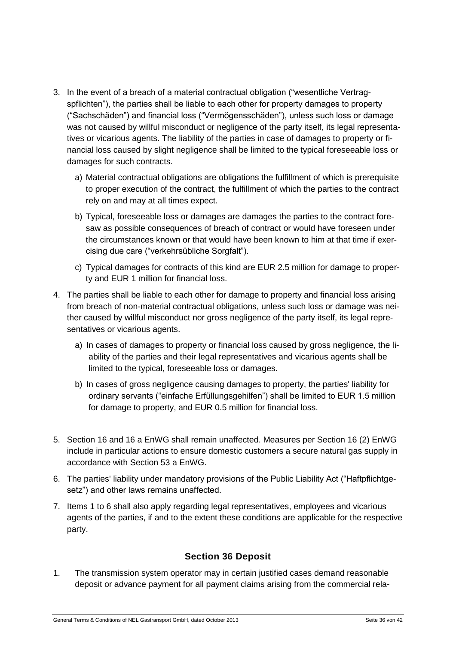- 3. In the event of a breach of a material contractual obligation ("wesentliche Vertragspflichten"), the parties shall be liable to each other for property damages to property ("Sachschäden") and financial loss ("Vermögensschäden"), unless such loss or damage was not caused by willful misconduct or negligence of the party itself, its legal representatives or vicarious agents. The liability of the parties in case of damages to property or financial loss caused by slight negligence shall be limited to the typical foreseeable loss or damages for such contracts.
	- a) Material contractual obligations are obligations the fulfillment of which is prerequisite to proper execution of the contract, the fulfillment of which the parties to the contract rely on and may at all times expect.
	- b) Typical, foreseeable loss or damages are damages the parties to the contract foresaw as possible consequences of breach of contract or would have foreseen under the circumstances known or that would have been known to him at that time if exercising due care ("verkehrsübliche Sorgfalt").
	- c) Typical damages for contracts of this kind are EUR 2.5 million for damage to property and EUR 1 million for financial loss.
- 4. The parties shall be liable to each other for damage to property and financial loss arising from breach of non-material contractual obligations, unless such loss or damage was neither caused by willful misconduct nor gross negligence of the party itself, its legal representatives or vicarious agents.
	- a) In cases of damages to property or financial loss caused by gross negligence, the liability of the parties and their legal representatives and vicarious agents shall be limited to the typical, foreseeable loss or damages.
	- b) In cases of gross negligence causing damages to property, the parties' liability for ordinary servants ("einfache Erfüllungsgehilfen") shall be limited to EUR 1.5 million for damage to property, and EUR 0.5 million for financial loss.
- 5. Section 16 and 16 a EnWG shall remain unaffected. Measures per Section 16 (2) EnWG include in particular actions to ensure domestic customers a secure natural gas supply in accordance with Section 53 a EnWG.
- 6. The parties' liability under mandatory provisions of the Public Liability Act ("Haftpflichtgesetz") and other laws remains unaffected.
- 7. Items 1 to 6 shall also apply regarding legal representatives, employees and vicarious agents of the parties, if and to the extent these conditions are applicable for the respective party.

#### **Section 36 Deposit**

<span id="page-35-0"></span>1. The transmission system operator may in certain justified cases demand reasonable deposit or advance payment for all payment claims arising from the commercial rela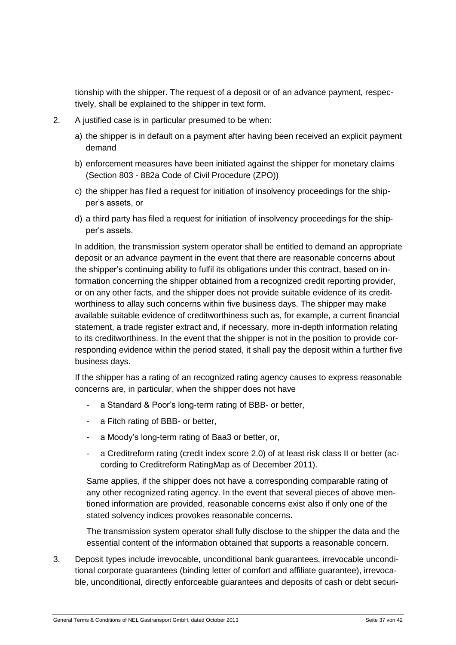tionship with the shipper. The request of a deposit or of an advance payment, respectively, shall be explained to the shipper in text form.

- 2. A justified case is in particular presumed to be when:
	- a) the shipper is in default on a payment after having been received an explicit payment demand
	- b) enforcement measures have been initiated against the shipper for monetary claims (Section 803 - 882a Code of Civil Procedure (ZPO))
	- c) the shipper has filed a request for initiation of insolvency proceedings for the shipper's assets, or
	- d) a third party has filed a request for initiation of insolvency proceedings for the shipper's assets.

In addition, the transmission system operator shall be entitled to demand an appropriate deposit or an advance payment in the event that there are reasonable concerns about the shipper's continuing ability to fulfil its obligations under this contract, based on information concerning the shipper obtained from a recognized credit reporting provider, or on any other facts, and the shipper does not provide suitable evidence of its creditworthiness to allay such concerns within five business days. The shipper may make available suitable evidence of creditworthiness such as, for example, a current financial statement, a trade register extract and, if necessary, more in-depth information relating to its creditworthiness. In the event that the shipper is not in the position to provide corresponding evidence within the period stated, it shall pay the deposit within a further five business days.

If the shipper has a rating of an recognized rating agency causes to express reasonable concerns are, in particular, when the shipper does not have

- a Standard & Poor's long-term rating of BBB- or better,
- a Fitch rating of BBB- or better,
- a Moody's long-term rating of Baa3 or better, or,
- a Creditreform rating (credit index score 2.0) of at least risk class II or better (according to Creditreform RatingMap as of December 2011).

Same applies, if the shipper does not have a corresponding comparable rating of any other recognized rating agency. In the event that several pieces of above mentioned information are provided, reasonable concerns exist also if only one of the stated solvency indices provokes reasonable concerns.

The transmission system operator shall fully disclose to the shipper the data and the essential content of the information obtained that supports a reasonable concern.

3. Deposit types include irrevocable, unconditional bank guarantees, irrevocable unconditional corporate guarantees (binding letter of comfort and affiliate guarantee), irrevocable, unconditional, directly enforceable guarantees and deposits of cash or debt securi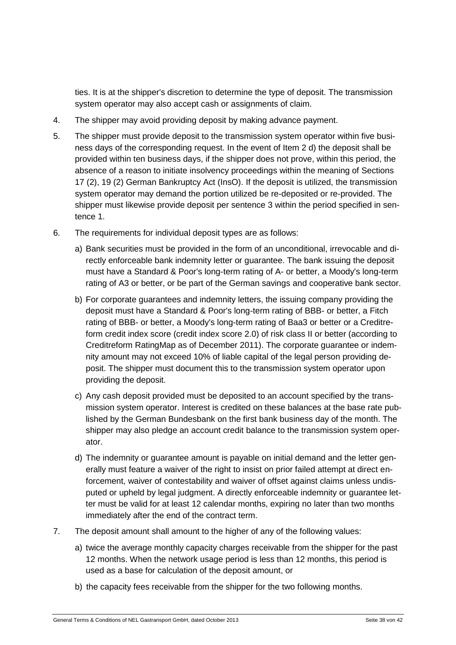ties. It is at the shipper's discretion to determine the type of deposit. The transmission system operator may also accept cash or assignments of claim.

- 4. The shipper may avoid providing deposit by making advance payment.
- 5. The shipper must provide deposit to the transmission system operator within five business days of the corresponding request. In the event of Item 2 d) the deposit shall be provided within ten business days, if the shipper does not prove, within this period, the absence of a reason to initiate insolvency proceedings within the meaning of Sections 17 (2), 19 (2) German Bankruptcy Act (InsO). If the deposit is utilized, the transmission system operator may demand the portion utilized be re-deposited or re-provided. The shipper must likewise provide deposit per sentence 3 within the period specified in sentence 1.
- 6. The requirements for individual deposit types are as follows:
	- a) Bank securities must be provided in the form of an unconditional, irrevocable and directly enforceable bank indemnity letter or guarantee. The bank issuing the deposit must have a Standard & Poor's long-term rating of A- or better, a Moody's long-term rating of A3 or better, or be part of the German savings and cooperative bank sector.
	- b) For corporate guarantees and indemnity letters, the issuing company providing the deposit must have a Standard & Poor's long-term rating of BBB- or better, a Fitch rating of BBB- or better, a Moody's long-term rating of Baa3 or better or a Creditreform credit index score (credit index score 2.0) of risk class II or better (according to Creditreform RatingMap as of December 2011). The corporate guarantee or indemnity amount may not exceed 10% of liable capital of the legal person providing deposit. The shipper must document this to the transmission system operator upon providing the deposit.
	- c) Any cash deposit provided must be deposited to an account specified by the transmission system operator. Interest is credited on these balances at the base rate published by the German Bundesbank on the first bank business day of the month. The shipper may also pledge an account credit balance to the transmission system operator.
	- d) The indemnity or guarantee amount is payable on initial demand and the letter generally must feature a waiver of the right to insist on prior failed attempt at direct enforcement, waiver of contestability and waiver of offset against claims unless undisputed or upheld by legal judgment. A directly enforceable indemnity or guarantee letter must be valid for at least 12 calendar months, expiring no later than two months immediately after the end of the contract term.
- 7. The deposit amount shall amount to the higher of any of the following values:
	- a) twice the average monthly capacity charges receivable from the shipper for the past 12 months. When the network usage period is less than 12 months, this period is used as a base for calculation of the deposit amount, or
	- b) the capacity fees receivable from the shipper for the two following months.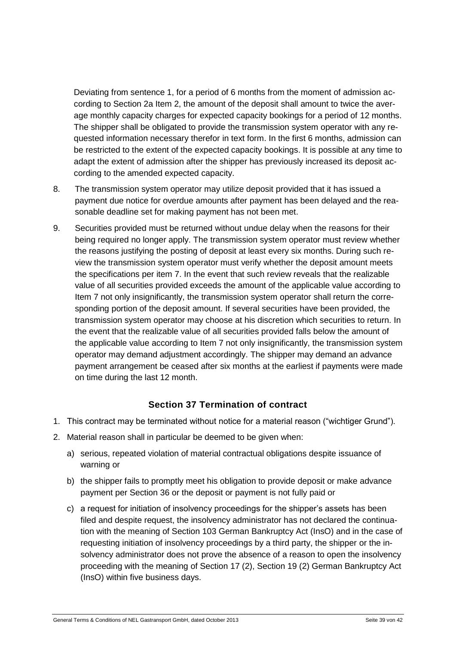Deviating from sentence 1, for a period of 6 months from the moment of admission according to Section 2a Item 2, the amount of the deposit shall amount to twice the average monthly capacity charges for expected capacity bookings for a period of 12 months. The shipper shall be obligated to provide the transmission system operator with any requested information necessary therefor in text form. In the first 6 months, admission can be restricted to the extent of the expected capacity bookings. It is possible at any time to adapt the extent of admission after the shipper has previously increased its deposit according to the amended expected capacity.

- 8. The transmission system operator may utilize deposit provided that it has issued a payment due notice for overdue amounts after payment has been delayed and the reasonable deadline set for making payment has not been met.
- 9. Securities provided must be returned without undue delay when the reasons for their being required no longer apply. The transmission system operator must review whether the reasons justifying the posting of deposit at least every six months. During such review the transmission system operator must verify whether the deposit amount meets the specifications per item 7. In the event that such review reveals that the realizable value of all securities provided exceeds the amount of the applicable value according to Item 7 not only insignificantly, the transmission system operator shall return the corresponding portion of the deposit amount. If several securities have been provided, the transmission system operator may choose at his discretion which securities to return. In the event that the realizable value of all securities provided falls below the amount of the applicable value according to Item 7 not only insignificantly, the transmission system operator may demand adjustment accordingly. The shipper may demand an advance payment arrangement be ceased after six months at the earliest if payments were made on time during the last 12 month.

#### **Section 37 Termination of contract**

- <span id="page-38-0"></span>1. This contract may be terminated without notice for a material reason ("wichtiger Grund").
- 2. Material reason shall in particular be deemed to be given when:
	- a) serious, repeated violation of material contractual obligations despite issuance of warning or
	- b) the shipper fails to promptly meet his obligation to provide deposit or make advance payment per Section 36 or the deposit or payment is not fully paid or
	- c) a request for initiation of insolvency proceedings for the shipper's assets has been filed and despite request, the insolvency administrator has not declared the continuation with the meaning of Section 103 German Bankruptcy Act (InsO) and in the case of requesting initiation of insolvency proceedings by a third party, the shipper or the insolvency administrator does not prove the absence of a reason to open the insolvency proceeding with the meaning of Section 17 (2), Section 19 (2) German Bankruptcy Act (InsO) within five business days.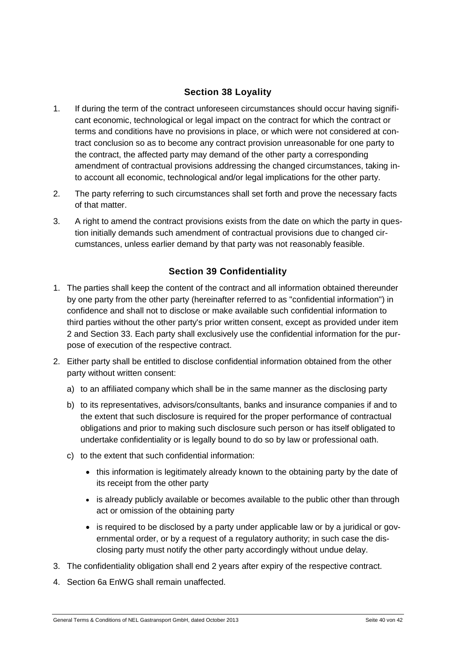# **Section 38 Loyality**

- <span id="page-39-0"></span>1. If during the term of the contract unforeseen circumstances should occur having significant economic, technological or legal impact on the contract for which the contract or terms and conditions have no provisions in place, or which were not considered at contract conclusion so as to become any contract provision unreasonable for one party to the contract, the affected party may demand of the other party a corresponding amendment of contractual provisions addressing the changed circumstances, taking into account all economic, technological and/or legal implications for the other party.
- 2. The party referring to such circumstances shall set forth and prove the necessary facts of that matter.
- 3. A right to amend the contract provisions exists from the date on which the party in question initially demands such amendment of contractual provisions due to changed circumstances, unless earlier demand by that party was not reasonably feasible.

# **Section 39 Confidentiality**

- <span id="page-39-1"></span>1. The parties shall keep the content of the contract and all information obtained thereunder by one party from the other party (hereinafter referred to as "confidential information") in confidence and shall not to disclose or make available such confidential information to third parties without the other party's prior written consent, except as provided under item 2 and Section 33. Each party shall exclusively use the confidential information for the purpose of execution of the respective contract.
- 2. Either party shall be entitled to disclose confidential information obtained from the other party without written consent:
	- a) to an affiliated company which shall be in the same manner as the disclosing party
	- b) to its representatives, advisors/consultants, banks and insurance companies if and to the extent that such disclosure is required for the proper performance of contractual obligations and prior to making such disclosure such person or has itself obligated to undertake confidentiality or is legally bound to do so by law or professional oath.
	- c) to the extent that such confidential information:
		- this information is legitimately already known to the obtaining party by the date of its receipt from the other party
		- is already publicly available or becomes available to the public other than through act or omission of the obtaining party
		- is required to be disclosed by a party under applicable law or by a juridical or governmental order, or by a request of a regulatory authority; in such case the disclosing party must notify the other party accordingly without undue delay.
- 3. The confidentiality obligation shall end 2 years after expiry of the respective contract.
- 4. Section 6a EnWG shall remain unaffected.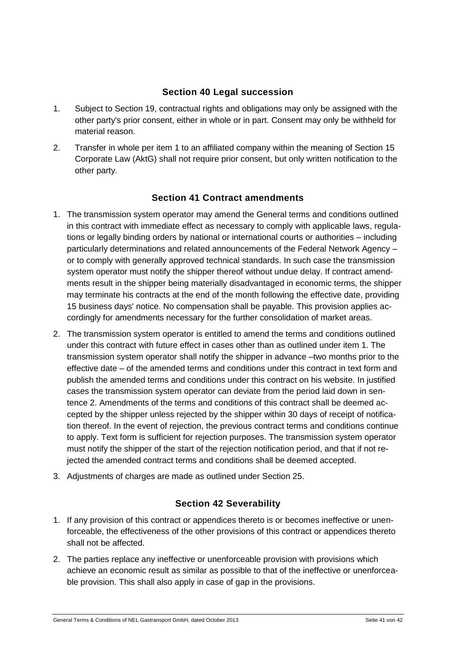#### **Section 40 Legal succession**

- <span id="page-40-0"></span>1. Subject to Section 19, contractual rights and obligations may only be assigned with the other party's prior consent, either in whole or in part. Consent may only be withheld for material reason.
- 2. Transfer in whole per item 1 to an affiliated company within the meaning of Section 15 Corporate Law (AktG) shall not require prior consent, but only written notification to the other party.

#### **Section 41 Contract amendments**

- <span id="page-40-1"></span>1. The transmission system operator may amend the General terms and conditions outlined in this contract with immediate effect as necessary to comply with applicable laws, regulations or legally binding orders by national or international courts or authorities – including particularly determinations and related announcements of the Federal Network Agency – or to comply with generally approved technical standards. In such case the transmission system operator must notify the shipper thereof without undue delay. If contract amendments result in the shipper being materially disadvantaged in economic terms, the shipper may terminate his contracts at the end of the month following the effective date, providing 15 business days' notice. No compensation shall be payable. This provision applies accordingly for amendments necessary for the further consolidation of market areas.
- 2. The transmission system operator is entitled to amend the terms and conditions outlined under this contract with future effect in cases other than as outlined under item 1. The transmission system operator shall notify the shipper in advance –two months prior to the effective date – of the amended terms and conditions under this contract in text form and publish the amended terms and conditions under this contract on his website. In justified cases the transmission system operator can deviate from the period laid down in sentence 2. Amendments of the terms and conditions of this contract shall be deemed accepted by the shipper unless rejected by the shipper within 30 days of receipt of notification thereof. In the event of rejection, the previous contract terms and conditions continue to apply. Text form is sufficient for rejection purposes. The transmission system operator must notify the shipper of the start of the rejection notification period, and that if not rejected the amended contract terms and conditions shall be deemed accepted.
- <span id="page-40-2"></span>3. Adjustments of charges are made as outlined under Section 25.

#### **Section 42 Severability**

- 1. If any provision of this contract or appendices thereto is or becomes ineffective or unenforceable, the effectiveness of the other provisions of this contract or appendices thereto shall not be affected.
- 2. The parties replace any ineffective or unenforceable provision with provisions which achieve an economic result as similar as possible to that of the ineffective or unenforceable provision. This shall also apply in case of gap in the provisions.